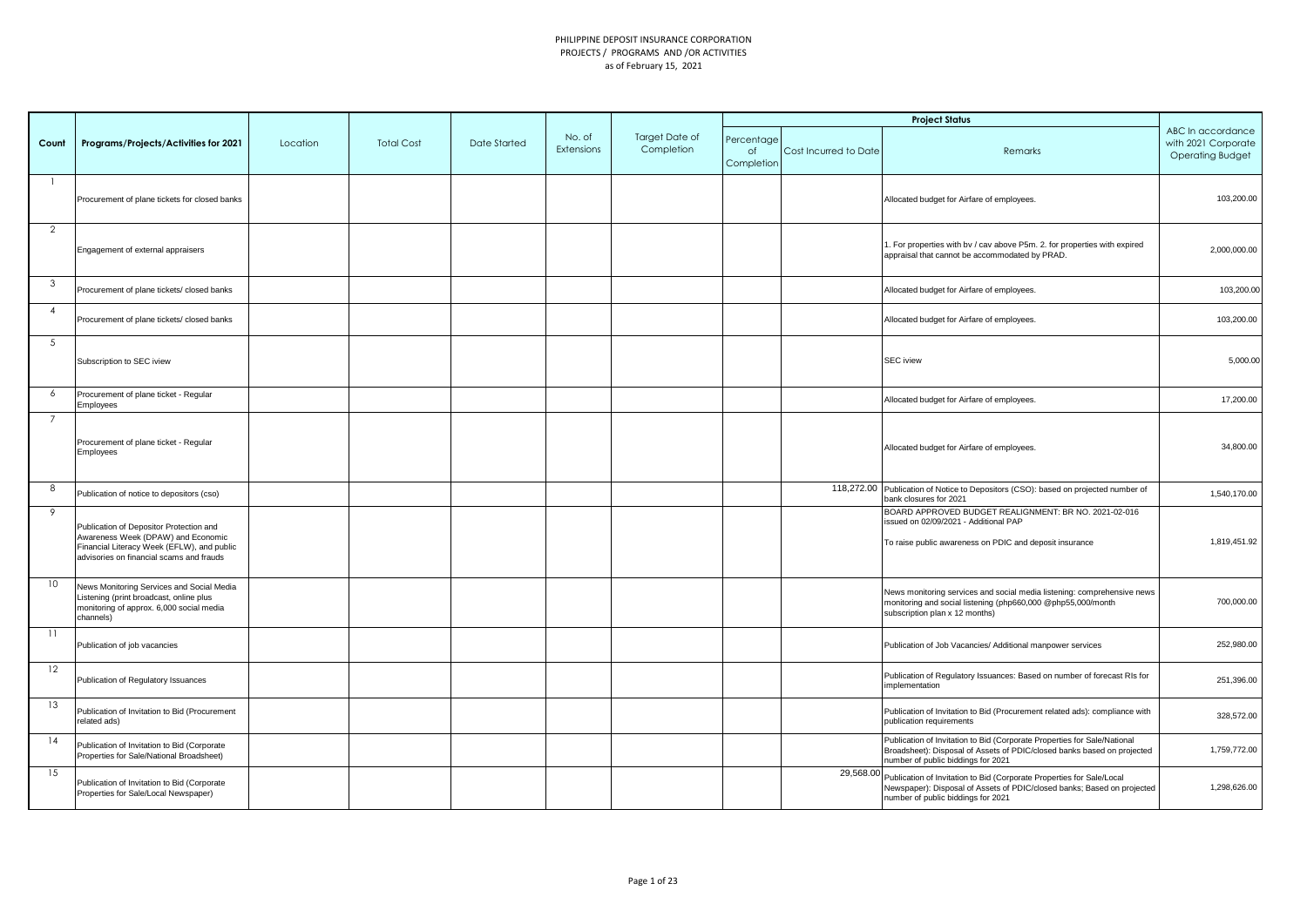|                |                                                                                                                                                                         |          |                   |                     |                      |                              |                                |                       | <b>Project Status</b>                                                                                                                                                                            |                                                                     |
|----------------|-------------------------------------------------------------------------------------------------------------------------------------------------------------------------|----------|-------------------|---------------------|----------------------|------------------------------|--------------------------------|-----------------------|--------------------------------------------------------------------------------------------------------------------------------------------------------------------------------------------------|---------------------------------------------------------------------|
| Count          | Programs/Projects/Activities for 2021                                                                                                                                   | Location | <b>Total Cost</b> | <b>Date Started</b> | No. of<br>Extensions | Target Date of<br>Completion | Percentage<br>of<br>Completion | Cost Incurred to Date | Remarks                                                                                                                                                                                          | ABC In accordance<br>with 2021 Corporate<br><b>Operating Budget</b> |
|                | Procurement of plane tickets for closed banks                                                                                                                           |          |                   |                     |                      |                              |                                |                       | Allocated budget for Airfare of employees.                                                                                                                                                       | 103,200.00                                                          |
| $\overline{2}$ | Engagement of external appraisers                                                                                                                                       |          |                   |                     |                      |                              |                                |                       | . For properties with bv / cav above P5m. 2. for properties with expired<br>appraisal that cannot be accommodated by PRAD.                                                                       | 2,000,000.00                                                        |
| 3              | Procurement of plane tickets/ closed banks                                                                                                                              |          |                   |                     |                      |                              |                                |                       | Allocated budget for Airfare of employees.                                                                                                                                                       | 103,200.00                                                          |
| $\overline{4}$ | Procurement of plane tickets/ closed banks                                                                                                                              |          |                   |                     |                      |                              |                                |                       | Allocated budget for Airfare of employees.                                                                                                                                                       | 103,200.00                                                          |
| 5              | Subscription to SEC iview                                                                                                                                               |          |                   |                     |                      |                              |                                |                       | <b>SEC</b> iview                                                                                                                                                                                 | 5,000.00                                                            |
| 6              | Procurement of plane ticket - Regular<br>Employees                                                                                                                      |          |                   |                     |                      |                              |                                |                       | Allocated budget for Airfare of employees.                                                                                                                                                       | 17,200.00                                                           |
| $\overline{7}$ | Procurement of plane ticket - Regular<br>Employees                                                                                                                      |          |                   |                     |                      |                              |                                |                       | Allocated budget for Airfare of employees.                                                                                                                                                       | 34,800.00                                                           |
| 8              | Publication of notice to depositors (cso)                                                                                                                               |          |                   |                     |                      |                              |                                |                       | 118,272.00 Publication of Notice to Depositors (CSO): based on projected number of<br>bank closures for 2021                                                                                     | 1,540,170.00                                                        |
| 9              | Publication of Depositor Protection and<br>Awareness Week (DPAW) and Economic<br>Financial Literacy Week (EFLW), and public<br>advisories on financial scams and frauds |          |                   |                     |                      |                              |                                |                       | BOARD APPROVED BUDGET REALIGNMENT: BR NO. 2021-02-016<br>issued on 02/09/2021 - Additional PAP<br>To raise public awareness on PDIC and deposit insurance                                        | 1,819,451.92                                                        |
| 10             | News Monitoring Services and Social Media<br>Listening (print broadcast, online plus<br>monitoring of approx. 6,000 social media<br>channels)                           |          |                   |                     |                      |                              |                                |                       | News monitoring services and social media listening: comprehensive news<br>monitoring and social listening (php660,000 @php55,000/month<br>subscription plan x 12 months)                        | 700,000.00                                                          |
| 11             | Publication of job vacancies                                                                                                                                            |          |                   |                     |                      |                              |                                |                       | Publication of Job Vacancies/ Additional manpower services                                                                                                                                       | 252,980.00                                                          |
| 12             | Publication of Regulatory Issuances                                                                                                                                     |          |                   |                     |                      |                              |                                |                       | Publication of Regulatory Issuances: Based on number of forecast RIs for<br>implementation                                                                                                       | 251,396.00                                                          |
| 13             | Publication of Invitation to Bid (Procurement<br>related ads)                                                                                                           |          |                   |                     |                      |                              |                                |                       | Publication of Invitation to Bid (Procurement related ads): compliance with<br>publication requirements                                                                                          | 328,572.00                                                          |
| 14             | Publication of Invitation to Bid (Corporate<br>Properties for Sale/National Broadsheet)                                                                                 |          |                   |                     |                      |                              |                                |                       | Publication of Invitation to Bid (Corporate Properties for Sale/National<br>Broadsheet): Disposal of Assets of PDIC/closed banks based on projected<br>number of public biddings for 2021        | 1,759,772.00                                                        |
| 15             | Publication of Invitation to Bid (Corporate<br>Properties for Sale/Local Newspaper)                                                                                     |          |                   |                     |                      |                              |                                |                       | 29,568.00 Publication of Invitation to Bid (Corporate Properties for Sale/Local<br>Newspaper): Disposal of Assets of PDIC/closed banks; Based on projected<br>number of public biddings for 2021 | 1,298,626.00                                                        |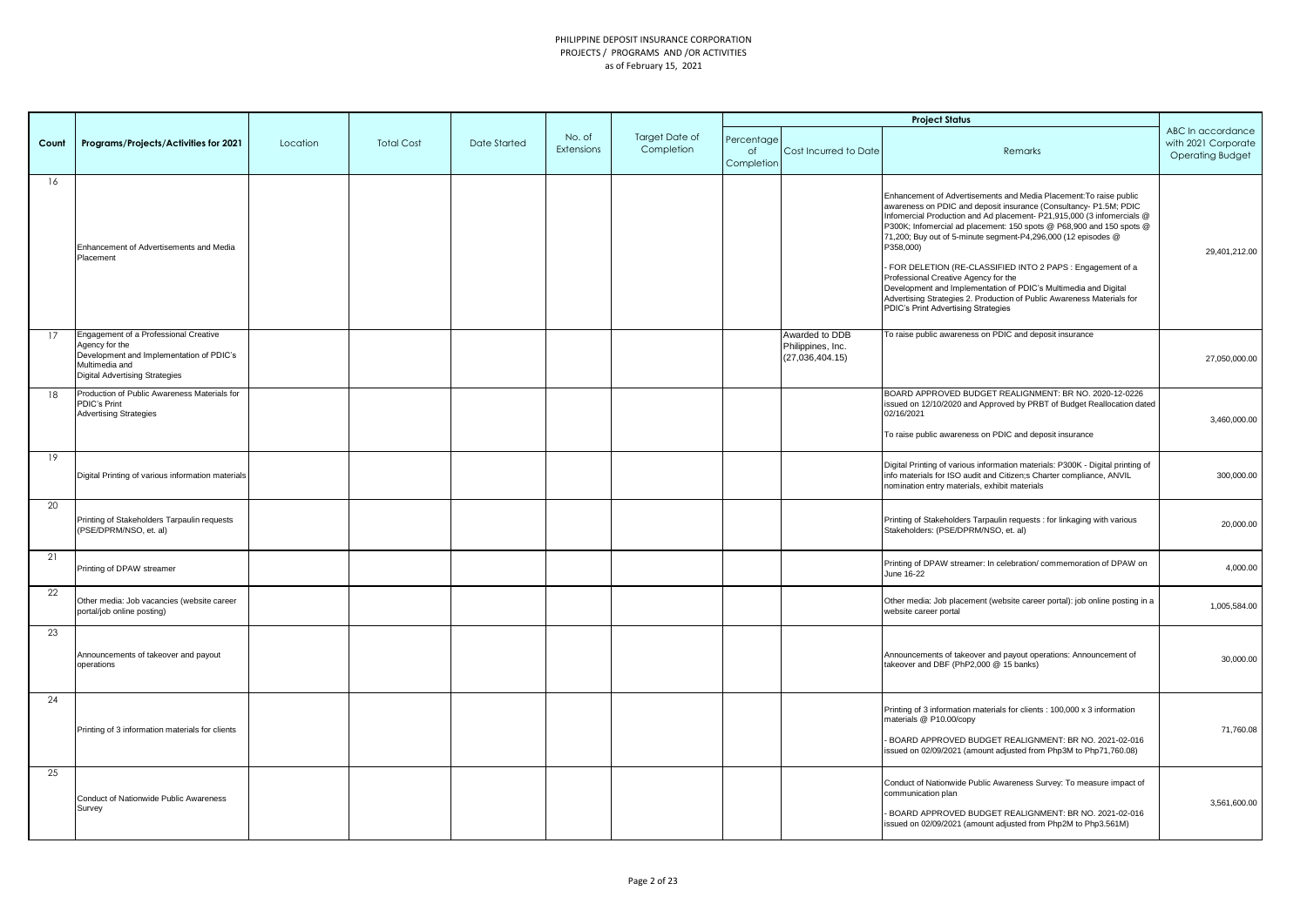|       |                                                                                                                                                                |          |                   |              |                      |                              |                                |                                                        | <b>Project Status</b>                                                                                                                                                                                                                                                                                                                                                                                                                                                                                                                                                                                                                                              |                                                                     |
|-------|----------------------------------------------------------------------------------------------------------------------------------------------------------------|----------|-------------------|--------------|----------------------|------------------------------|--------------------------------|--------------------------------------------------------|--------------------------------------------------------------------------------------------------------------------------------------------------------------------------------------------------------------------------------------------------------------------------------------------------------------------------------------------------------------------------------------------------------------------------------------------------------------------------------------------------------------------------------------------------------------------------------------------------------------------------------------------------------------------|---------------------------------------------------------------------|
| Count | Programs/Projects/Activities for 2021                                                                                                                          | Location | <b>Total Cost</b> | Date Started | No. of<br>Extensions | Target Date of<br>Completion | Percentage<br>of<br>Completion | Cost Incurred to Date                                  | Remarks                                                                                                                                                                                                                                                                                                                                                                                                                                                                                                                                                                                                                                                            | ABC In accordance<br>with 2021 Corporate<br><b>Operating Budget</b> |
| 16    | Enhancement of Advertisements and Media<br>Placement                                                                                                           |          |                   |              |                      |                              |                                |                                                        | Enhancement of Advertisements and Media Placement: To raise public<br>awareness on PDIC and deposit insurance (Consultancy- P1.5M; PDIC<br>Infomercial Production and Ad placement- P21,915,000 (3 infomercials @<br>P300K; Infomercial ad placement: 150 spots @ P68,900 and 150 spots @<br>71,200; Buy out of 5-minute segment-P4,296,000 (12 episodes @<br>P358,000)<br>- FOR DELETION (RE-CLASSIFIED INTO 2 PAPS : Engagement of a<br>Professional Creative Agency for the<br>Development and Implementation of PDIC's Multimedia and Digital<br>Advertising Strategies 2. Production of Public Awareness Materials for<br>PDIC's Print Advertising Strategies | 29,401,212.00                                                       |
| 17    | Engagement of a Professional Creative<br>Agency for the<br>Development and Implementation of PDIC's<br>Multimedia and<br><b>Digital Advertising Strategies</b> |          |                   |              |                      |                              |                                | Awarded to DDB<br>Philippines, Inc.<br>(27,036,404.15) | To raise public awareness on PDIC and deposit insurance                                                                                                                                                                                                                                                                                                                                                                                                                                                                                                                                                                                                            | 27,050,000.00                                                       |
| 18    | Production of Public Awareness Materials for<br><b>PDIC's Print</b><br><b>Advertising Strategies</b>                                                           |          |                   |              |                      |                              |                                |                                                        | BOARD APPROVED BUDGET REALIGNMENT: BR NO. 2020-12-0226<br>issued on 12/10/2020 and Approved by PRBT of Budget Reallocation dated<br>02/16/2021<br>To raise public awareness on PDIC and deposit insurance                                                                                                                                                                                                                                                                                                                                                                                                                                                          | 3,460,000.00                                                        |
| 19    | Digital Printing of various information materials                                                                                                              |          |                   |              |                      |                              |                                |                                                        | Digital Printing of various information materials: P300K - Digital printing of<br>info materials for ISO audit and Citizen;s Charter compliance, ANVIL<br>nomination entry materials, exhibit materials                                                                                                                                                                                                                                                                                                                                                                                                                                                            | 300,000.00                                                          |
| 20    | Printing of Stakeholders Tarpaulin requests<br>(PSE/DPRM/NSO, et. al)                                                                                          |          |                   |              |                      |                              |                                |                                                        | Printing of Stakeholders Tarpaulin requests : for linkaging with various<br>Stakeholders: (PSE/DPRM/NSO, et. al)                                                                                                                                                                                                                                                                                                                                                                                                                                                                                                                                                   | 20,000.00                                                           |
| 21    | Printing of DPAW streamer                                                                                                                                      |          |                   |              |                      |                              |                                |                                                        | Printing of DPAW streamer: In celebration/ commemoration of DPAW on<br>June 16-22                                                                                                                                                                                                                                                                                                                                                                                                                                                                                                                                                                                  | 4,000.00                                                            |
| 22    | Other media: Job vacancies (website career<br>portal/job online posting)                                                                                       |          |                   |              |                      |                              |                                |                                                        | Other media: Job placement (website career portal): job online posting in a<br>website career portal                                                                                                                                                                                                                                                                                                                                                                                                                                                                                                                                                               | 1,005,584.00                                                        |
| 23    | Announcements of takeover and payout<br>operations                                                                                                             |          |                   |              |                      |                              |                                |                                                        | Announcements of takeover and payout operations: Announcement of<br>takeover and DBF (PhP2,000 @ 15 banks)                                                                                                                                                                                                                                                                                                                                                                                                                                                                                                                                                         | 30,000.00                                                           |
| 24    | Printing of 3 information materials for clients                                                                                                                |          |                   |              |                      |                              |                                |                                                        | Printing of 3 information materials for clients : 100,000 x 3 information<br>materials @ P10.00/copy<br>BOARD APPROVED BUDGET REALIGNMENT: BR NO. 2021-02-016<br>issued on 02/09/2021 (amount adjusted from Php3M to Php71,760.08)                                                                                                                                                                                                                                                                                                                                                                                                                                 | 71,760.08                                                           |
| 25    | Conduct of Nationwide Public Awareness<br>Survey                                                                                                               |          |                   |              |                      |                              |                                |                                                        | Conduct of Nationwide Public Awareness Survey: To measure impact of<br>communication plan<br>BOARD APPROVED BUDGET REALIGNMENT: BR NO. 2021-02-016<br>issued on 02/09/2021 (amount adjusted from Php2M to Php3.561M)                                                                                                                                                                                                                                                                                                                                                                                                                                               | 3,561,600.00                                                        |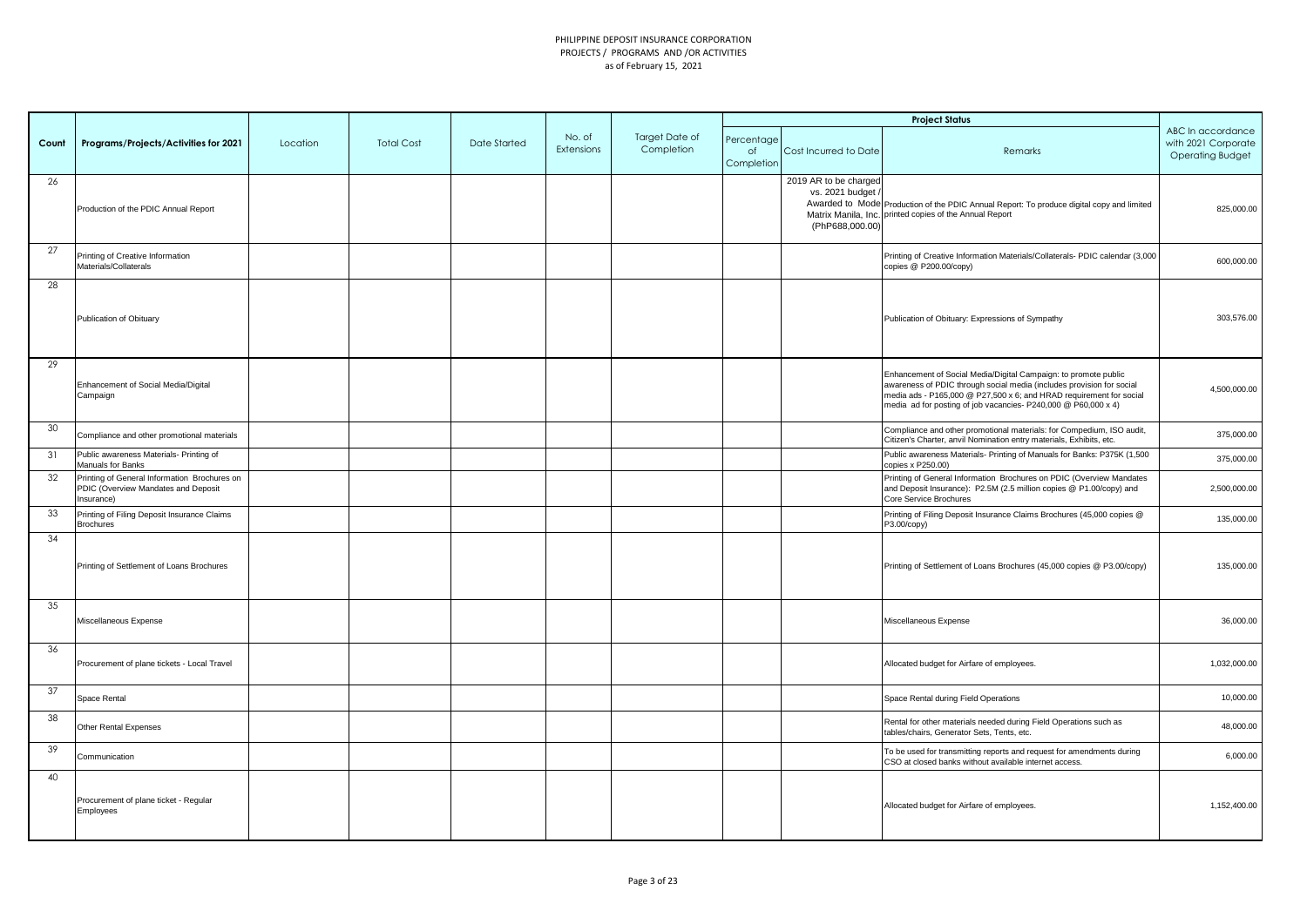|       |                                                                                                   |          |                   |              |                      |                              |                                |                                                             | <b>Project Status</b>                                                                                                                                                                                                                                                             |                                                                     |
|-------|---------------------------------------------------------------------------------------------------|----------|-------------------|--------------|----------------------|------------------------------|--------------------------------|-------------------------------------------------------------|-----------------------------------------------------------------------------------------------------------------------------------------------------------------------------------------------------------------------------------------------------------------------------------|---------------------------------------------------------------------|
| Count | Programs/Projects/Activities for 2021                                                             | Location | <b>Total Cost</b> | Date Started | No. of<br>Extensions | Target Date of<br>Completion | Percentage<br>of<br>Completion | Cost Incurred to Date                                       | Remarks                                                                                                                                                                                                                                                                           | ABC In accordance<br>with 2021 Corporate<br><b>Operating Budget</b> |
| 26    | Production of the PDIC Annual Report                                                              |          |                   |              |                      |                              |                                | 2019 AR to be charged<br>vs. 2021 budget<br>(PhP688,000.00) | Awarded to Mode Production of the PDIC Annual Report: To produce digital copy and limited<br>Matrix Manila, Inc. printed copies of the Annual Report                                                                                                                              | 825,000.00                                                          |
| 27    | Printing of Creative Information<br>Materials/Collaterals                                         |          |                   |              |                      |                              |                                |                                                             | Printing of Creative Information Materials/Collaterals- PDIC calendar (3,000<br>copies @ P200.00/copy)                                                                                                                                                                            | 600,000.00                                                          |
| 28    | Publication of Obituary                                                                           |          |                   |              |                      |                              |                                |                                                             | Publication of Obituary: Expressions of Sympathy                                                                                                                                                                                                                                  | 303,576.00                                                          |
| 29    | Enhancement of Social Media/Digital<br>Campaign                                                   |          |                   |              |                      |                              |                                |                                                             | Enhancement of Social Media/Digital Campaign: to promote public<br>awareness of PDIC through social media (includes provision for social<br>media ads - P165,000 @ P27,500 x 6; and HRAD requirement for social<br>media ad for posting of job vacancies- P240,000 @ P60,000 x 4) | 4,500,000.00                                                        |
| 30    | Compliance and other promotional materials                                                        |          |                   |              |                      |                              |                                |                                                             | Compliance and other promotional materials: for Compedium, ISO audit,<br>Citizen's Charter, anvil Nomination entry materials, Exhibits, etc.                                                                                                                                      | 375,000.00                                                          |
| 31    | Public awareness Materials- Printing of<br>Manuals for Banks                                      |          |                   |              |                      |                              |                                |                                                             | Public awareness Materials- Printing of Manuals for Banks: P375K (1,500<br>copies x P250.00)                                                                                                                                                                                      | 375,000.00                                                          |
| 32    | Printing of General Information Brochures on<br>PDIC (Overview Mandates and Deposit<br>Insurance) |          |                   |              |                      |                              |                                |                                                             | Printing of General Information Brochures on PDIC (Overview Mandates<br>and Deposit Insurance): P2.5M (2.5 million copies @ P1.00/copy) and<br>Core Service Brochures                                                                                                             | 2,500,000.00                                                        |
| 33    | Printing of Filing Deposit Insurance Claims<br><b>Brochures</b>                                   |          |                   |              |                      |                              |                                |                                                             | Printing of Filing Deposit Insurance Claims Brochures (45,000 copies @<br>P3.00/copy)                                                                                                                                                                                             | 135,000.00                                                          |
| 34    | Printing of Settlement of Loans Brochures                                                         |          |                   |              |                      |                              |                                |                                                             | Printing of Settlement of Loans Brochures (45,000 copies @ P3.00/copy)                                                                                                                                                                                                            | 135,000.00                                                          |
| 35    | Miscellaneous Expense                                                                             |          |                   |              |                      |                              |                                |                                                             | Miscellaneous Expense                                                                                                                                                                                                                                                             | 36,000.00                                                           |
| 36    | Procurement of plane tickets - Local Travel                                                       |          |                   |              |                      |                              |                                |                                                             | Allocated budget for Airfare of employees.                                                                                                                                                                                                                                        | 1,032,000.00                                                        |
| 37    | Space Rental                                                                                      |          |                   |              |                      |                              |                                |                                                             | Space Rental during Field Operations                                                                                                                                                                                                                                              | 10,000.00                                                           |
| 38    | Other Rental Expenses                                                                             |          |                   |              |                      |                              |                                |                                                             | Rental for other materials needed during Field Operations such as<br>tables/chairs, Generator Sets, Tents, etc.                                                                                                                                                                   | 48,000.00                                                           |
| 39    | Communication                                                                                     |          |                   |              |                      |                              |                                |                                                             | To be used for transmitting reports and request for amendments during<br>CSO at closed banks without available internet access.                                                                                                                                                   | 6,000.00                                                            |
| 40    | Procurement of plane ticket - Regular<br>Employees                                                |          |                   |              |                      |                              |                                |                                                             | Allocated budget for Airfare of employees.                                                                                                                                                                                                                                        | 1,152,400.00                                                        |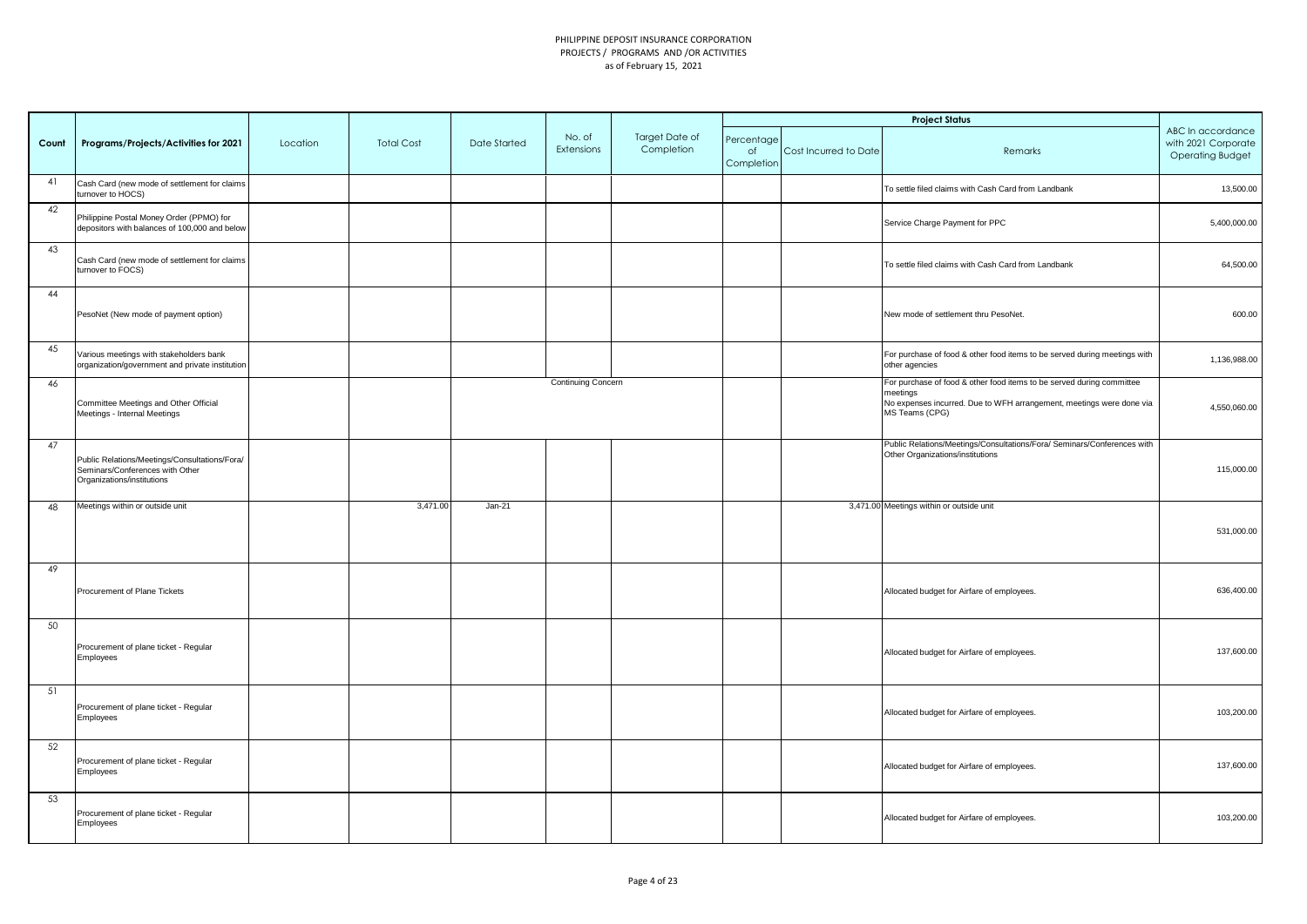|       |                                                                                                                |          |                   |              |                      |                              |                                |                       | <b>Project Status</b>                                                                                                                                                       |                                                                     |
|-------|----------------------------------------------------------------------------------------------------------------|----------|-------------------|--------------|----------------------|------------------------------|--------------------------------|-----------------------|-----------------------------------------------------------------------------------------------------------------------------------------------------------------------------|---------------------------------------------------------------------|
| Count | Programs/Projects/Activities for 2021                                                                          | Location | <b>Total Cost</b> | Date Started | No. of<br>Extensions | Target Date of<br>Completion | Percentage<br>of<br>Completion | Cost Incurred to Date | Remarks                                                                                                                                                                     | ABC In accordance<br>with 2021 Corporate<br><b>Operating Budget</b> |
| 41    | Cash Card (new mode of settlement for claims<br>turnover to HOCS)                                              |          |                   |              |                      |                              |                                |                       | To settle filed claims with Cash Card from Landbank                                                                                                                         | 13,500.00                                                           |
| 42    | Philippine Postal Money Order (PPMO) for<br>depositors with balances of 100,000 and below                      |          |                   |              |                      |                              |                                |                       | Service Charge Payment for PPC                                                                                                                                              | 5,400,000.00                                                        |
| 43    | Cash Card (new mode of settlement for claims<br>turnover to FOCS)                                              |          |                   |              |                      |                              |                                |                       | To settle filed claims with Cash Card from Landbank                                                                                                                         | 64,500.00                                                           |
| 44    | PesoNet (New mode of payment option)                                                                           |          |                   |              |                      |                              |                                |                       | New mode of settlement thru PesoNet.                                                                                                                                        | 600.00                                                              |
| 45    | Various meetings with stakeholders bank<br>organization/government and private institution                     |          |                   |              |                      |                              |                                |                       | For purchase of food & other food items to be served during meetings with<br>other agencies                                                                                 | 1,136,988.00                                                        |
| 46    | Committee Meetings and Other Official<br>Meetings - Internal Meetings                                          |          |                   |              | Continuing Concern   |                              |                                |                       | For purchase of food & other food items to be served during committee<br>neetings<br>No expenses incurred. Due to WFH arrangement, meetings were done via<br>MS Teams (CPG) | 4,550,060.00                                                        |
| 47    | Public Relations/Meetings/Consultations/Fora/<br>Seminars/Conferences with Other<br>Organizations/institutions |          |                   |              |                      |                              |                                |                       | Public Relations/Meetings/Consultations/Fora/ Seminars/Conferences with<br>Other Organizations/institutions                                                                 | 115,000.00                                                          |
| 48    | Meetings within or outside unit                                                                                |          | 3,471.00          | $Jan-21$     |                      |                              |                                |                       | 3,471.00 Meetings within or outside unit                                                                                                                                    | 531,000.00                                                          |
| 49    | Procurement of Plane Tickets                                                                                   |          |                   |              |                      |                              |                                |                       | Allocated budget for Airfare of employees.                                                                                                                                  | 636,400.00                                                          |
| 50    | Procurement of plane ticket - Regular<br>Employees                                                             |          |                   |              |                      |                              |                                |                       | Allocated budget for Airfare of employees.                                                                                                                                  | 137,600.00                                                          |
| 51    | Procurement of plane ticket - Regular<br>Employees                                                             |          |                   |              |                      |                              |                                |                       | Allocated budget for Airfare of employees.                                                                                                                                  | 103,200.00                                                          |
| 52    | Procurement of plane ticket - Regular<br>Employees                                                             |          |                   |              |                      |                              |                                |                       | Allocated budget for Airfare of employees.                                                                                                                                  | 137,600.00                                                          |
| 53    | Procurement of plane ticket - Regular<br>Employees                                                             |          |                   |              |                      |                              |                                |                       | Allocated budget for Airfare of employees.                                                                                                                                  | 103,200.00                                                          |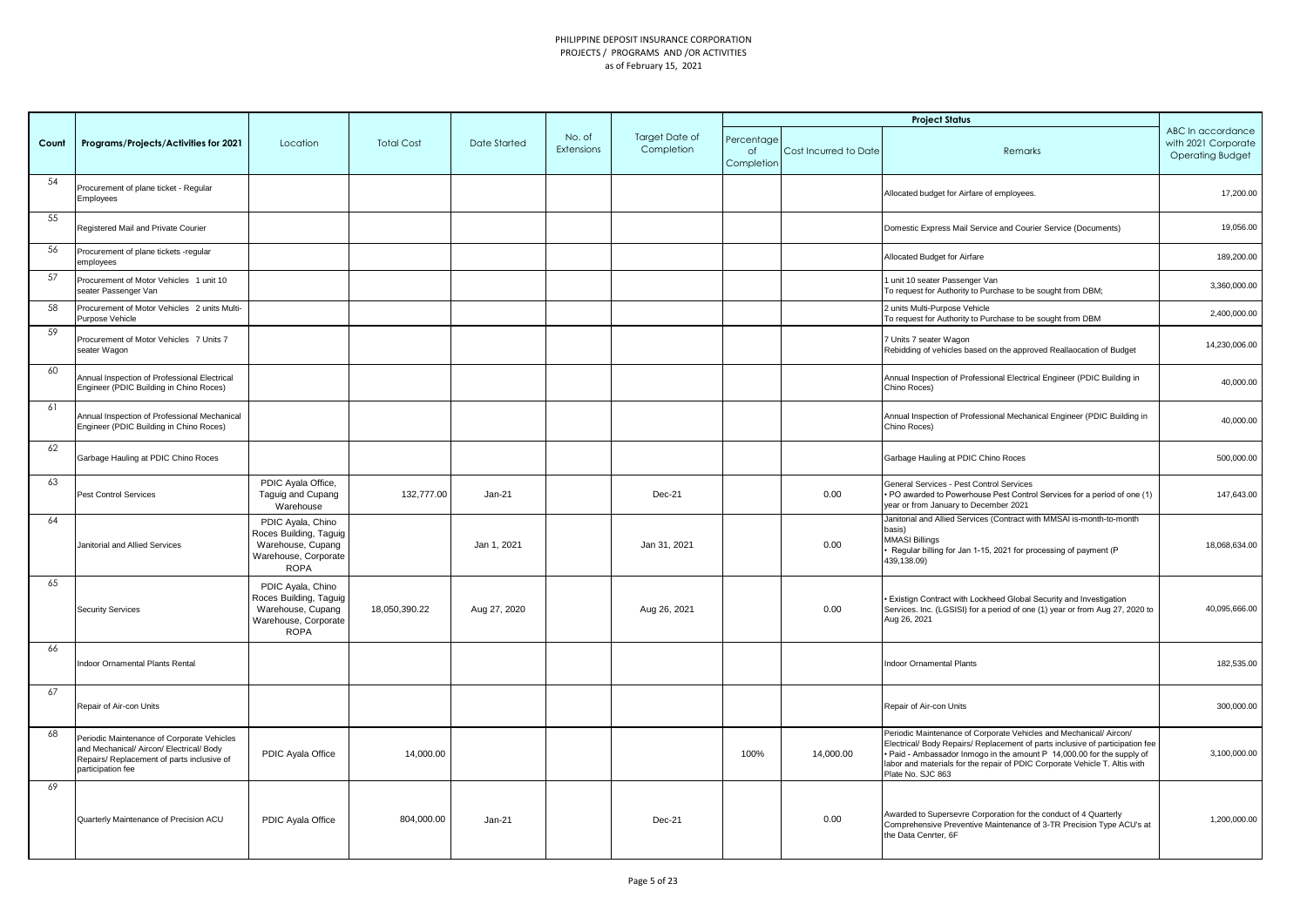|       |                                                                                                                                                           |                                                                                                         |                   |              |                      |                                     |                                |                       | <b>Project Status</b>                                                                                                                                                                                                                                                                                                            |                                                                     |
|-------|-----------------------------------------------------------------------------------------------------------------------------------------------------------|---------------------------------------------------------------------------------------------------------|-------------------|--------------|----------------------|-------------------------------------|--------------------------------|-----------------------|----------------------------------------------------------------------------------------------------------------------------------------------------------------------------------------------------------------------------------------------------------------------------------------------------------------------------------|---------------------------------------------------------------------|
| Count | Programs/Projects/Activities for 2021                                                                                                                     | Location                                                                                                | <b>Total Cost</b> | Date Started | No. of<br>Extensions | <b>Target Date of</b><br>Completion | Percentaae<br>of<br>Completion | Cost Incurred to Date | Remarks                                                                                                                                                                                                                                                                                                                          | ABC In accordance<br>with 2021 Corporate<br><b>Operating Budget</b> |
| 54    | Procurement of plane ticket - Regular<br>Employees                                                                                                        |                                                                                                         |                   |              |                      |                                     |                                |                       | Allocated budget for Airfare of employees.                                                                                                                                                                                                                                                                                       | 17,200.00                                                           |
| 55    | Registered Mail and Private Courier                                                                                                                       |                                                                                                         |                   |              |                      |                                     |                                |                       | Domestic Express Mail Service and Courier Service (Documents)                                                                                                                                                                                                                                                                    | 19,056.00                                                           |
| 56    | Procurement of plane tickets -regular<br>employees                                                                                                        |                                                                                                         |                   |              |                      |                                     |                                |                       | Allocated Budget for Airfare                                                                                                                                                                                                                                                                                                     | 189,200.00                                                          |
| 57    | Procurement of Motor Vehicles 1 unit 10<br>seater Passenger Van                                                                                           |                                                                                                         |                   |              |                      |                                     |                                |                       | 1 unit 10 seater Passenger Van<br>To request for Authority to Purchase to be sought from DBM;                                                                                                                                                                                                                                    | 3,360,000.00                                                        |
| 58    | Procurement of Motor Vehicles 2 units Multi-<br>Purpose Vehicle                                                                                           |                                                                                                         |                   |              |                      |                                     |                                |                       | 2 units Multi-Purpose Vehicle<br>To request for Authority to Purchase to be sought from DBM                                                                                                                                                                                                                                      | 2,400,000.00                                                        |
| 59    | Procurement of Motor Vehicles 7 Units 7<br>seater Wagon                                                                                                   |                                                                                                         |                   |              |                      |                                     |                                |                       | 7 Units 7 seater Wagon<br>Rebidding of vehicles based on the approved Reallaocation of Budget                                                                                                                                                                                                                                    | 14,230,006.00                                                       |
| 60    | Annual Inspection of Professional Electrical<br>Engineer (PDIC Building in Chino Roces)                                                                   |                                                                                                         |                   |              |                      |                                     |                                |                       | Annual Inspection of Professional Electrical Engineer (PDIC Building in<br>Chino Roces)                                                                                                                                                                                                                                          | 40,000.00                                                           |
| 61    | Annual Inspection of Professional Mechanical<br>Engineer (PDIC Building in Chino Roces)                                                                   |                                                                                                         |                   |              |                      |                                     |                                |                       | Annual Inspection of Professional Mechanical Engineer (PDIC Building in<br>Chino Roces)                                                                                                                                                                                                                                          | 40,000.00                                                           |
| 62    | Garbage Hauling at PDIC Chino Roces                                                                                                                       |                                                                                                         |                   |              |                      |                                     |                                |                       | Garbage Hauling at PDIC Chino Roces                                                                                                                                                                                                                                                                                              | 500,000.00                                                          |
| 63    | Pest Control Services                                                                                                                                     | PDIC Ayala Office,<br>Taguig and Cupang<br>Warehouse                                                    | 132,777.00        | $Jan-21$     |                      | Dec-21                              |                                | 0.00                  | General Services - Pest Control Services<br>• PO awarded to Powerhouse Pest Control Services for a period of one (1)<br>year or from January to December 2021                                                                                                                                                                    | 147,643.00                                                          |
| 64    | Janitorial and Allied Services                                                                                                                            | PDIC Ayala, Chino<br>Roces Building, Taguig<br>Warehouse, Cupang<br>Warehouse, Corporate<br><b>ROPA</b> |                   | Jan 1, 2021  |                      | Jan 31, 2021                        |                                | 0.00                  | Janitorial and Allied Services (Contract with MMSAI is-month-to-month<br>basis)<br><b>MMASI Billings</b><br>Regular billing for Jan 1-15, 2021 for processing of payment (P<br>439,138.09)                                                                                                                                       | 18,068,634.00                                                       |
| 65    | <b>Security Services</b>                                                                                                                                  | PDIC Ayala, Chino<br>Roces Building, Taguig<br>Warehouse, Cupang<br>Warehouse, Corporate<br><b>ROPA</b> | 18,050,390.22     | Aug 27, 2020 |                      | Aug 26, 2021                        |                                | 0.00                  | · Existign Contract with Lockheed Global Security and Investigation<br>Services. Inc. (LGSISI) for a period of one (1) year or from Aug 27, 2020 to<br>Aug 26, 2021                                                                                                                                                              | 40,095,666.00                                                       |
| 66    | Indoor Ornamental Plants Rental                                                                                                                           |                                                                                                         |                   |              |                      |                                     |                                |                       | <b>Indoor Ornamental Plants</b>                                                                                                                                                                                                                                                                                                  | 182,535.00                                                          |
| 67    | Repair of Air-con Units                                                                                                                                   |                                                                                                         |                   |              |                      |                                     |                                |                       | Repair of Air-con Units                                                                                                                                                                                                                                                                                                          | 300,000.00                                                          |
| 68    | Periodic Maintenance of Corporate Vehicles<br>and Mechanical/ Aircon/ Electrical/ Body<br>Repairs/ Replacement of parts inclusive of<br>participation fee | PDIC Ayala Office                                                                                       | 14,000.00         |              |                      |                                     | 100%                           | 14,000.00             | Periodic Maintenance of Corporate Vehicles and Mechanical/ Aircon/<br>Electrical/ Body Repairs/ Replacement of parts inclusive of participation fee<br>. Paid - Ambassador Inmogo in the amount P 14,000.00 for the supply of<br>labor and materials for the repair of PDIC Corporate Vehicle T. Altis with<br>Plate No. SJC 863 | 3,100,000.00                                                        |
| 69    | Quarterly Maintenance of Precision ACU                                                                                                                    | PDIC Ayala Office                                                                                       | 804.000.00        | $Jan-21$     |                      | Dec-21                              |                                | 0.00                  | Awarded to Supersevre Corporation for the conduct of 4 Quarterly<br>Comprehensive Preventive Maintenance of 3-TR Precision Type ACU's at<br>the Data Cenrter, 6F                                                                                                                                                                 | 1.200.000.00                                                        |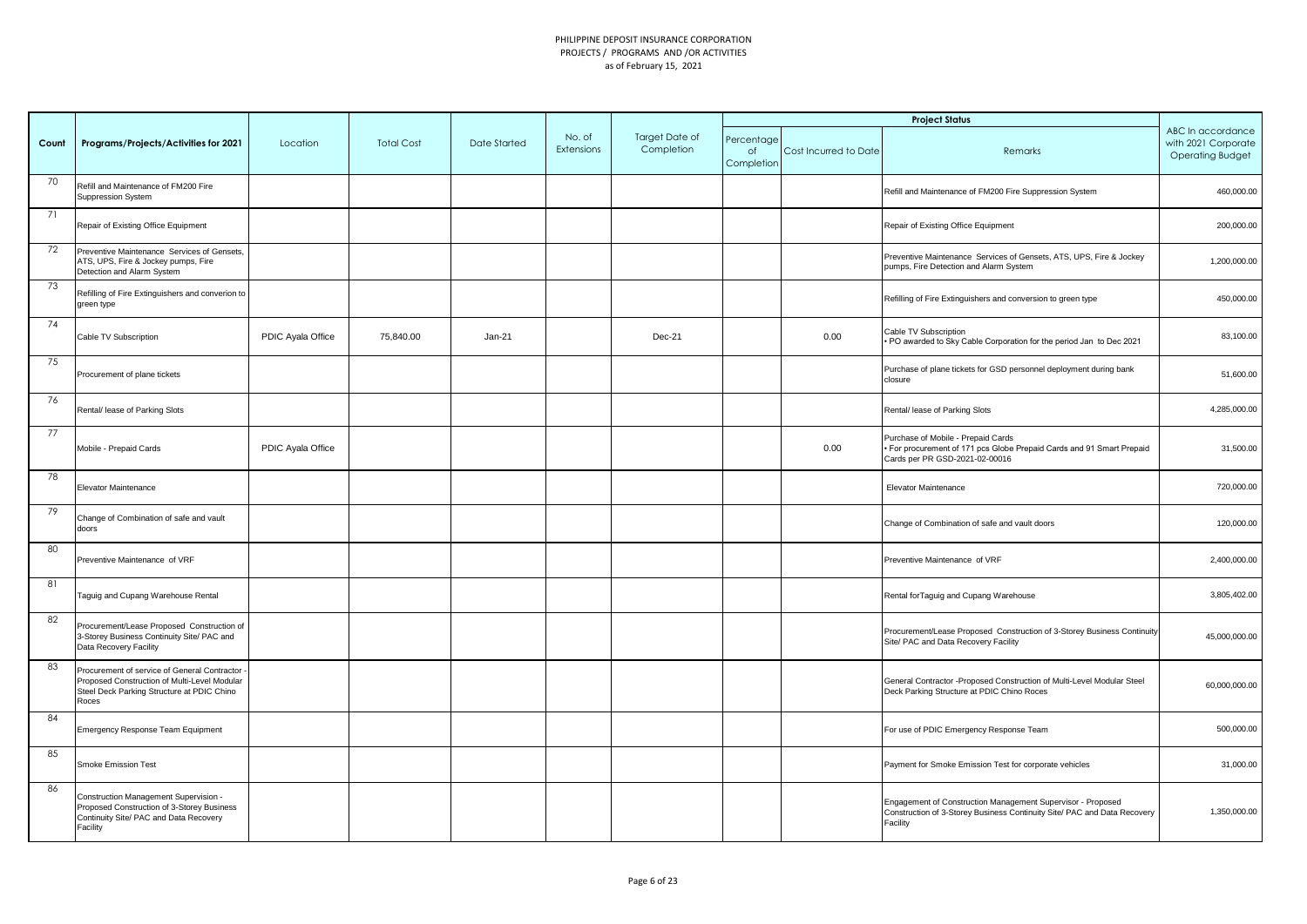|       |                                                                                                                                                     |                   |                   |              |                      |                              |                                |                       | <b>Project Status</b>                                                                                                                               |                                                                     |
|-------|-----------------------------------------------------------------------------------------------------------------------------------------------------|-------------------|-------------------|--------------|----------------------|------------------------------|--------------------------------|-----------------------|-----------------------------------------------------------------------------------------------------------------------------------------------------|---------------------------------------------------------------------|
| Count | Programs/Projects/Activities for 2021                                                                                                               | Location          | <b>Total Cost</b> | Date Started | No. of<br>Extensions | Target Date of<br>Completion | Percentage<br>of<br>Completion | Cost Incurred to Date | Remarks                                                                                                                                             | ABC In accordance<br>with 2021 Corporate<br><b>Operating Budget</b> |
| 70    | Refill and Maintenance of FM200 Fire<br>Suppression System                                                                                          |                   |                   |              |                      |                              |                                |                       | Refill and Maintenance of FM200 Fire Suppression System                                                                                             | 460,000.00                                                          |
| 71    | Repair of Existing Office Equipment                                                                                                                 |                   |                   |              |                      |                              |                                |                       | Repair of Existing Office Equipment                                                                                                                 | 200,000.00                                                          |
| 72    | Preventive Maintenance Services of Gensets,<br>ATS, UPS, Fire & Jockey pumps, Fire<br>Detection and Alarm System                                    |                   |                   |              |                      |                              |                                |                       | Preventive Maintenance Services of Gensets, ATS, UPS, Fire & Jockey<br>pumps, Fire Detection and Alarm System                                       | 1,200,000.00                                                        |
| 73    | Refilling of Fire Extinguishers and converion to<br>green type                                                                                      |                   |                   |              |                      |                              |                                |                       | Refilling of Fire Extinguishers and conversion to green type                                                                                        | 450,000.00                                                          |
| 74    | Cable TV Subscription                                                                                                                               | PDIC Ayala Office | 75,840.00         | Jan-21       |                      | Dec-21                       |                                | 0.00                  | Cable TV Subscription<br>PO awarded to Sky Cable Corporation for the period Jan to Dec 2021                                                         | 83,100.00                                                           |
| 75    | Procurement of plane tickets                                                                                                                        |                   |                   |              |                      |                              |                                |                       | Purchase of plane tickets for GSD personnel deployment during bank<br>closure                                                                       | 51,600.00                                                           |
| 76    | Rental/ lease of Parking Slots                                                                                                                      |                   |                   |              |                      |                              |                                |                       | Rental/ lease of Parking Slots                                                                                                                      | 4,285,000.00                                                        |
| 77    | Mobile - Prepaid Cards                                                                                                                              | PDIC Ayala Office |                   |              |                      |                              |                                | 0.00                  | Purchase of Mobile - Prepaid Cards<br>For procurement of 171 pcs Globe Prepaid Cards and 91 Smart Prepaid<br>Cards per PR GSD-2021-02-00016         | 31,500.00                                                           |
| 78    | Elevator Maintenance                                                                                                                                |                   |                   |              |                      |                              |                                |                       | Elevator Maintenance                                                                                                                                | 720,000.00                                                          |
| 79    | Change of Combination of safe and vault<br>doors                                                                                                    |                   |                   |              |                      |                              |                                |                       | Change of Combination of safe and vault doors                                                                                                       | 120,000.00                                                          |
| 80    | Preventive Maintenance of VRF                                                                                                                       |                   |                   |              |                      |                              |                                |                       | Preventive Maintenance of VRF                                                                                                                       | 2,400,000.00                                                        |
| 81    | Taguig and Cupang Warehouse Rental                                                                                                                  |                   |                   |              |                      |                              |                                |                       | Rental for Taguig and Cupang Warehouse                                                                                                              | 3,805,402.00                                                        |
| 82    | Procurement/Lease Proposed Construction of<br>3-Storey Business Continuity Site/ PAC and<br>Data Recovery Facility                                  |                   |                   |              |                      |                              |                                |                       | Procurement/Lease Proposed Construction of 3-Storey Business Continuity<br>Site/ PAC and Data Recovery Facility                                     | 45,000,000.00                                                       |
| 83    | Procurement of service of General Contractor<br>Proposed Construction of Multi-Level Modular<br>Steel Deck Parking Structure at PDIC Chino<br>Roces |                   |                   |              |                      |                              |                                |                       | General Contractor - Proposed Construction of Multi-Level Modular Steel<br>Deck Parking Structure at PDIC Chino Roces                               | 60,000,000.00                                                       |
| 84    | Emergency Response Team Equipment                                                                                                                   |                   |                   |              |                      |                              |                                |                       | For use of PDIC Emergency Response Team                                                                                                             | 500,000.00                                                          |
| 85    | Smoke Emission Test                                                                                                                                 |                   |                   |              |                      |                              |                                |                       | Payment for Smoke Emission Test for corporate vehicles                                                                                              | 31,000.00                                                           |
| 86    | Construction Management Supervision -<br>Proposed Construction of 3-Storey Business<br>Continuity Site/ PAC and Data Recovery<br>Facility           |                   |                   |              |                      |                              |                                |                       | Engagement of Construction Management Supervisor - Proposed<br>Construction of 3-Storey Business Continuity Site/ PAC and Data Recovery<br>Facility | 1,350,000.00                                                        |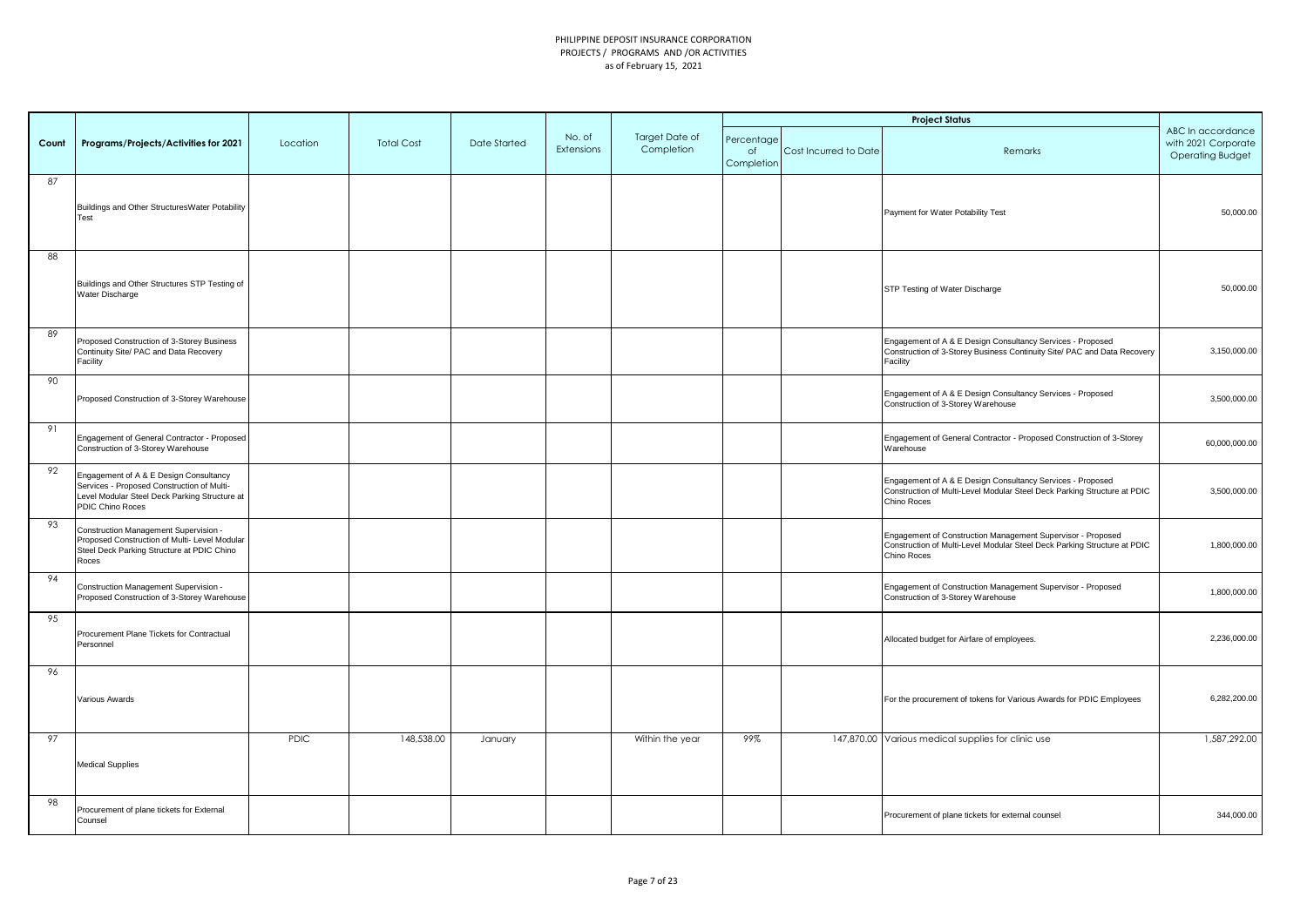|       |                                                                                                                                                           |             |                   |              |                      |                              |                                |                       | <b>Project Status</b>                                                                                                                                  |                                                                     |
|-------|-----------------------------------------------------------------------------------------------------------------------------------------------------------|-------------|-------------------|--------------|----------------------|------------------------------|--------------------------------|-----------------------|--------------------------------------------------------------------------------------------------------------------------------------------------------|---------------------------------------------------------------------|
| Count | Programs/Projects/Activities for 2021                                                                                                                     | Location    | <b>Total Cost</b> | Date Started | No. of<br>Extensions | Target Date of<br>Completion | Percentage<br>of<br>Completion | Cost Incurred to Date | Remarks                                                                                                                                                | ABC In accordance<br>with 2021 Corporate<br><b>Operating Budget</b> |
| 87    | Buildings and Other StructuresWater Potability<br>Test                                                                                                    |             |                   |              |                      |                              |                                |                       | Payment for Water Potability Test                                                                                                                      | 50,000.00                                                           |
| 88    | Buildings and Other Structures STP Testing of<br>Water Discharge                                                                                          |             |                   |              |                      |                              |                                |                       | STP Testing of Water Discharge                                                                                                                         | 50,000.00                                                           |
| 89    | Proposed Construction of 3-Storey Business<br>Continuity Site/ PAC and Data Recovery<br>Facility                                                          |             |                   |              |                      |                              |                                |                       | Engagement of A & E Design Consultancy Services - Proposed<br>Construction of 3-Storey Business Continuity Site/ PAC and Data Recovery<br>Facility     | 3,150,000.00                                                        |
| 90    | Proposed Construction of 3-Storey Warehouse                                                                                                               |             |                   |              |                      |                              |                                |                       | Engagement of A & E Design Consultancy Services - Proposed<br>Construction of 3-Storey Warehouse                                                       | 3,500,000.00                                                        |
| 91    | Engagement of General Contractor - Proposed<br>Construction of 3-Storey Warehouse                                                                         |             |                   |              |                      |                              |                                |                       | Engagement of General Contractor - Proposed Construction of 3-Storey<br>Warehouse                                                                      | 60,000,000.00                                                       |
| 92    | Engagement of A & E Design Consultancy<br>Services - Proposed Construction of Multi-<br>Level Modular Steel Deck Parking Structure at<br>PDIC Chino Roces |             |                   |              |                      |                              |                                |                       | Engagement of A & E Design Consultancy Services - Proposed<br>Construction of Multi-Level Modular Steel Deck Parking Structure at PDIC<br>Chino Roces  | 3,500,000.00                                                        |
| 93    | Construction Management Supervision -<br>Proposed Construction of Multi- Level Modular<br>Steel Deck Parking Structure at PDIC Chino<br>Roces             |             |                   |              |                      |                              |                                |                       | Engagement of Construction Management Supervisor - Proposed<br>Construction of Multi-Level Modular Steel Deck Parking Structure at PDIC<br>Chino Roces | 1,800,000.00                                                        |
| 94    | Construction Management Supervision -<br>Proposed Construction of 3-Storey Warehouse                                                                      |             |                   |              |                      |                              |                                |                       | Engagement of Construction Management Supervisor - Proposed<br>Construction of 3-Storey Warehouse                                                      | 1,800,000.00                                                        |
| 95    | Procurement Plane Tickets for Contractual<br>Personnel                                                                                                    |             |                   |              |                      |                              |                                |                       | Allocated budget for Airfare of employees.                                                                                                             | 2,236,000.00                                                        |
| 96    | Various Awards                                                                                                                                            |             |                   |              |                      |                              |                                |                       | For the procurement of tokens for Various Awards for PDIC Employees                                                                                    | 6,282,200.00                                                        |
| 97    | <b>Medical Supplies</b>                                                                                                                                   | <b>PDIC</b> | 148,538.00        | January      |                      | Within the year              | 99%                            |                       | 147,870.00 Various medical supplies for clinic use                                                                                                     | 1,587,292.00                                                        |
| 98    | Procurement of plane tickets for External<br>Counsel                                                                                                      |             |                   |              |                      |                              |                                |                       | Procurement of plane tickets for external counsel                                                                                                      | 344,000.00                                                          |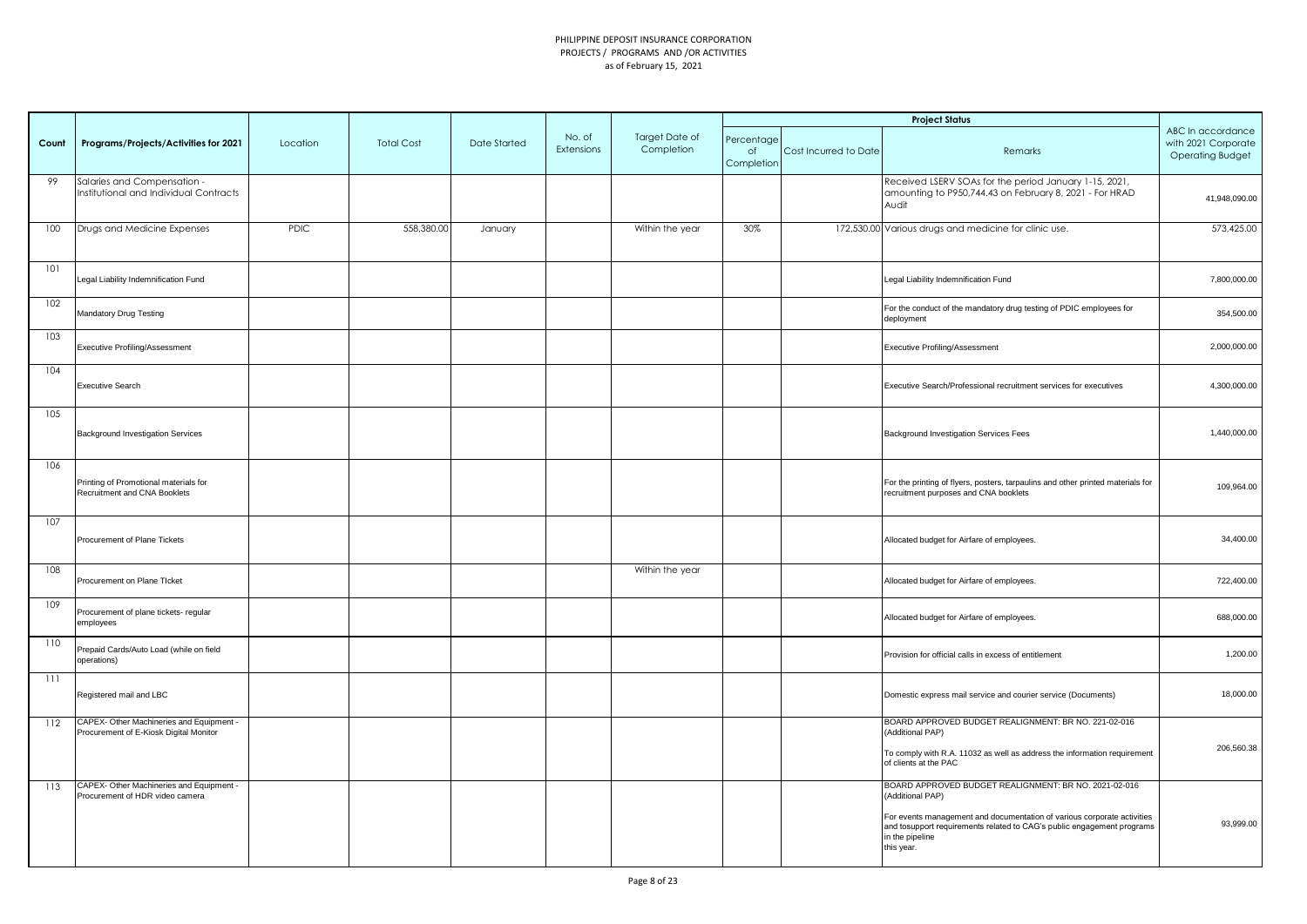|       |                                                                                    |          |                   |              |                      |                              |                                |                       | <b>Project Status</b>                                                                                                                                                                                                                                           |                                                                     |
|-------|------------------------------------------------------------------------------------|----------|-------------------|--------------|----------------------|------------------------------|--------------------------------|-----------------------|-----------------------------------------------------------------------------------------------------------------------------------------------------------------------------------------------------------------------------------------------------------------|---------------------------------------------------------------------|
| Count | Programs/Projects/Activities for 2021                                              | Location | <b>Total Cost</b> | Date Started | No. of<br>Extensions | Target Date of<br>Completion | Percentage<br>of<br>Completion | Cost Incurred to Date | Remarks                                                                                                                                                                                                                                                         | ABC In accordance<br>with 2021 Corporate<br><b>Operating Budget</b> |
| 99    | Salaries and Compensation -<br>Institutional and Individual Contracts              |          |                   |              |                      |                              |                                |                       | Received LSERV SOAs for the period January 1-15, 2021,<br>amounting to P950,744.43 on February 8, 2021 - For HRAD<br>Audit                                                                                                                                      | 41,948,090.00                                                       |
| 100   | Drugs and Medicine Expenses                                                        | PDIC     | 558,380.00        | January      |                      | Within the year              | 30%                            |                       | 172,530.00 Various drugs and medicine for clinic use.                                                                                                                                                                                                           | 573,425.00                                                          |
| 101   | Legal Liability Indemnification Fund                                               |          |                   |              |                      |                              |                                |                       | Legal Liability Indemnification Fund                                                                                                                                                                                                                            | 7,800,000.00                                                        |
| 102   | Mandatory Drug Testing                                                             |          |                   |              |                      |                              |                                |                       | For the conduct of the mandatory drug testing of PDIC employees for<br>deployment                                                                                                                                                                               | 354,500.00                                                          |
| 103   | <b>Executive Profiling/Assessment</b>                                              |          |                   |              |                      |                              |                                |                       | <b>Executive Profiling/Assessment</b>                                                                                                                                                                                                                           | 2,000,000.00                                                        |
| 104   | Executive Search                                                                   |          |                   |              |                      |                              |                                |                       | Executive Search/Professional recruitment services for executives                                                                                                                                                                                               | 4,300,000.00                                                        |
| 105   | Background Investigation Services                                                  |          |                   |              |                      |                              |                                |                       | Background Investigation Services Fees                                                                                                                                                                                                                          | 1,440,000.00                                                        |
| 106   | Printing of Promotional materials for<br>Recruitment and CNA Booklets              |          |                   |              |                      |                              |                                |                       | For the printing of flyers, posters, tarpaulins and other printed materials for<br>ecruitment purposes and CNA booklets                                                                                                                                         | 109,964.00                                                          |
| 107   | Procurement of Plane Tickets                                                       |          |                   |              |                      |                              |                                |                       | Allocated budget for Airfare of employees.                                                                                                                                                                                                                      | 34,400.00                                                           |
| 108   | Procurement on Plane Ticket                                                        |          |                   |              |                      | Within the year              |                                |                       | Allocated budget for Airfare of employees.                                                                                                                                                                                                                      | 722,400.00                                                          |
| 109   | Procurement of plane tickets- regular<br>employees                                 |          |                   |              |                      |                              |                                |                       | Allocated budget for Airfare of employees.                                                                                                                                                                                                                      | 688,000.00                                                          |
| 110   | Prepaid Cards/Auto Load (while on field<br>operations)                             |          |                   |              |                      |                              |                                |                       | Provision for official calls in excess of entitlement                                                                                                                                                                                                           | 1,200.00                                                            |
| 111   | Registered mail and LBC                                                            |          |                   |              |                      |                              |                                |                       | Domestic express mail service and courier service (Documents)                                                                                                                                                                                                   | 18,000.00                                                           |
| 112   | CAPEX- Other Machineries and Equipment -<br>Procurement of E-Kiosk Digital Monitor |          |                   |              |                      |                              |                                |                       | BOARD APPROVED BUDGET REALIGNMENT: BR NO. 221-02-016<br>(Additional PAP)<br>To comply with R.A. 11032 as well as address the information requirement<br>of clients at the PAC                                                                                   | 206,560.38                                                          |
| 113   | CAPEX- Other Machineries and Equipment -<br>Procurement of HDR video camera        |          |                   |              |                      |                              |                                |                       | BOARD APPROVED BUDGET REALIGNMENT: BR NO. 2021-02-016<br>(Additional PAP)<br>For events management and documentation of various corporate activities<br>and tosupport requirements related to CAG's public engagement programs<br>in the pipeline<br>this year. | 93,999.00                                                           |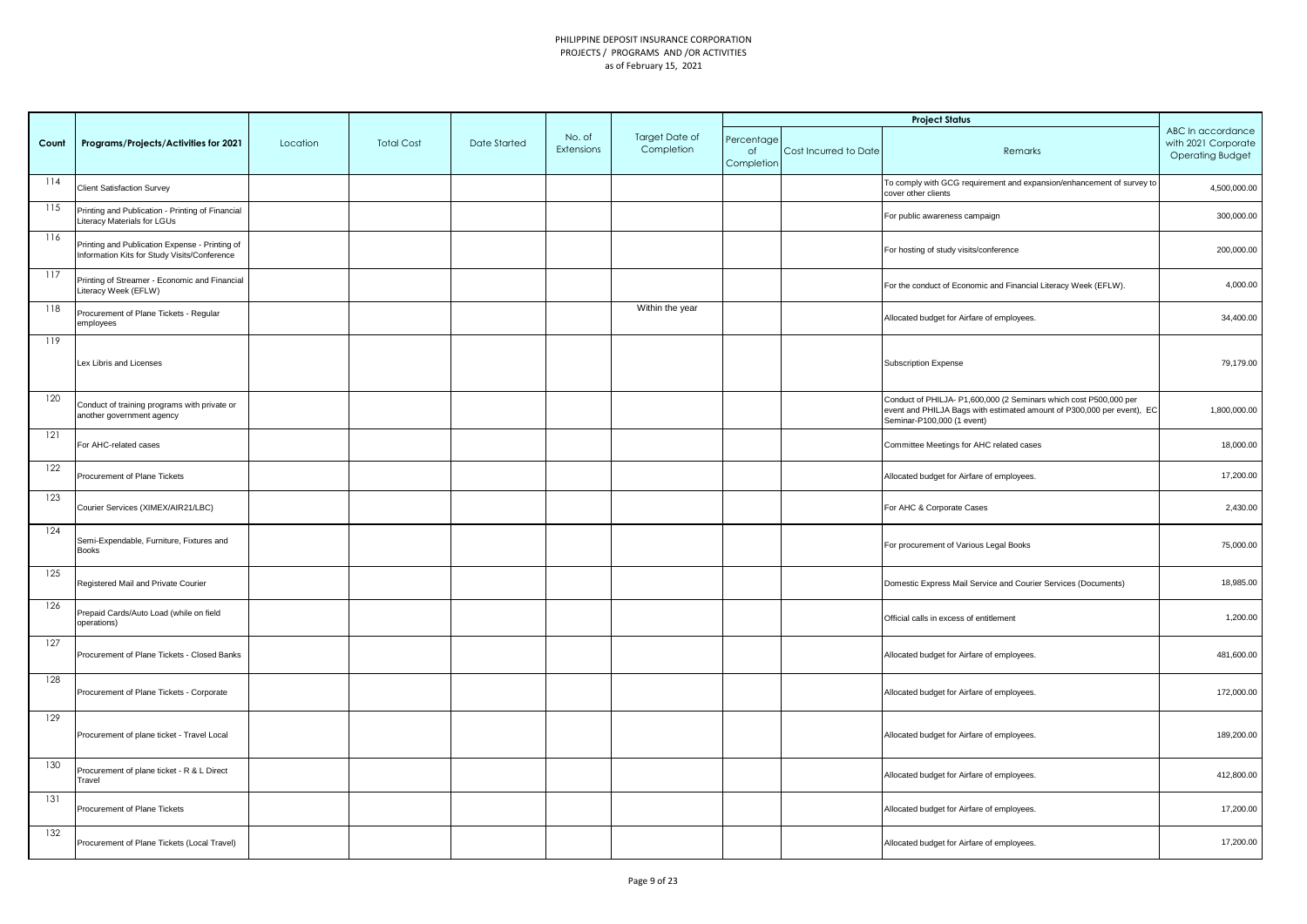|       |                                                                                                |          |                   |              |                      |                              |                                |                       | <b>Project Status</b>                                                                                                                                                     |                                                                     |
|-------|------------------------------------------------------------------------------------------------|----------|-------------------|--------------|----------------------|------------------------------|--------------------------------|-----------------------|---------------------------------------------------------------------------------------------------------------------------------------------------------------------------|---------------------------------------------------------------------|
| Count | Programs/Projects/Activities for 2021                                                          | Location | <b>Total Cost</b> | Date Started | No. of<br>Extensions | Target Date of<br>Completion | Percentage<br>of<br>Completion | Cost Incurred to Date | Remarks                                                                                                                                                                   | ABC In accordance<br>with 2021 Corporate<br><b>Operating Budget</b> |
| 114   | <b>Client Satisfaction Survey</b>                                                              |          |                   |              |                      |                              |                                |                       | To comply with GCG requirement and expansion/enhancement of survey to<br>cover other clients                                                                              | 4,500,000.00                                                        |
| 115   | Printing and Publication - Printing of Financial<br>Literacy Materials for LGUs                |          |                   |              |                      |                              |                                |                       | For public awareness campaign                                                                                                                                             | 300,000.00                                                          |
| 116   | Printing and Publication Expense - Printing of<br>Information Kits for Study Visits/Conference |          |                   |              |                      |                              |                                |                       | For hosting of study visits/conference                                                                                                                                    | 200,000.00                                                          |
| 117   | Printing of Streamer - Economic and Financial<br>Literacy Week (EFLW)                          |          |                   |              |                      |                              |                                |                       | For the conduct of Economic and Financial Literacy Week (EFLW).                                                                                                           | 4,000.00                                                            |
| 118   | Procurement of Plane Tickets - Regular<br>employees                                            |          |                   |              |                      | Within the year              |                                |                       | Allocated budget for Airfare of employees.                                                                                                                                | 34,400.00                                                           |
| 119   | Lex Libris and Licenses                                                                        |          |                   |              |                      |                              |                                |                       | <b>Subscription Expense</b>                                                                                                                                               | 79,179.00                                                           |
| 120   | Conduct of training programs with private or<br>another government agency                      |          |                   |              |                      |                              |                                |                       | Conduct of PHILJA- P1,600,000 (2 Seminars which cost P500,000 per<br>event and PHILJA Bags with estimated amount of P300,000 per event), EC<br>Seminar-P100,000 (1 event) | 1,800,000.00                                                        |
| 121   | For AHC-related cases                                                                          |          |                   |              |                      |                              |                                |                       | Committee Meetings for AHC related cases                                                                                                                                  | 18,000.00                                                           |
| 122   | Procurement of Plane Tickets                                                                   |          |                   |              |                      |                              |                                |                       | Allocated budget for Airfare of employees.                                                                                                                                | 17,200.00                                                           |
| 123   | Courier Services (XIMEX/AIR21/LBC)                                                             |          |                   |              |                      |                              |                                |                       | For AHC & Corporate Cases                                                                                                                                                 | 2,430.00                                                            |
| 124   | Semi-Expendable, Furniture, Fixtures and<br><b>Books</b>                                       |          |                   |              |                      |                              |                                |                       | For procurement of Various Legal Books                                                                                                                                    | 75,000.00                                                           |
| 125   | Registered Mail and Private Courier                                                            |          |                   |              |                      |                              |                                |                       | Domestic Express Mail Service and Courier Services (Documents)                                                                                                            | 18,985.00                                                           |
| 126   | Prepaid Cards/Auto Load (while on field<br>operations)                                         |          |                   |              |                      |                              |                                |                       | Official calls in excess of entitlement                                                                                                                                   | 1,200.00                                                            |
| 127   | Procurement of Plane Tickets - Closed Banks                                                    |          |                   |              |                      |                              |                                |                       | Allocated budget for Airfare of employees.                                                                                                                                | 481,600.00                                                          |
| 128   | Procurement of Plane Tickets - Corporate                                                       |          |                   |              |                      |                              |                                |                       | Allocated budget for Airfare of employees.                                                                                                                                | 172,000.00                                                          |
| 129   | Procurement of plane ticket - Travel Local                                                     |          |                   |              |                      |                              |                                |                       | Allocated budget for Airfare of employees.                                                                                                                                | 189,200.00                                                          |
| 130   | Procurement of plane ticket - R & L Direct<br>Travel                                           |          |                   |              |                      |                              |                                |                       | Allocated budget for Airfare of employees.                                                                                                                                | 412,800.00                                                          |
| 131   | Procurement of Plane Tickets                                                                   |          |                   |              |                      |                              |                                |                       | Allocated budget for Airfare of employees.                                                                                                                                | 17,200.00                                                           |
| 132   | Procurement of Plane Tickets (Local Travel)                                                    |          |                   |              |                      |                              |                                |                       | Allocated budget for Airfare of employees.                                                                                                                                | 17,200.00                                                           |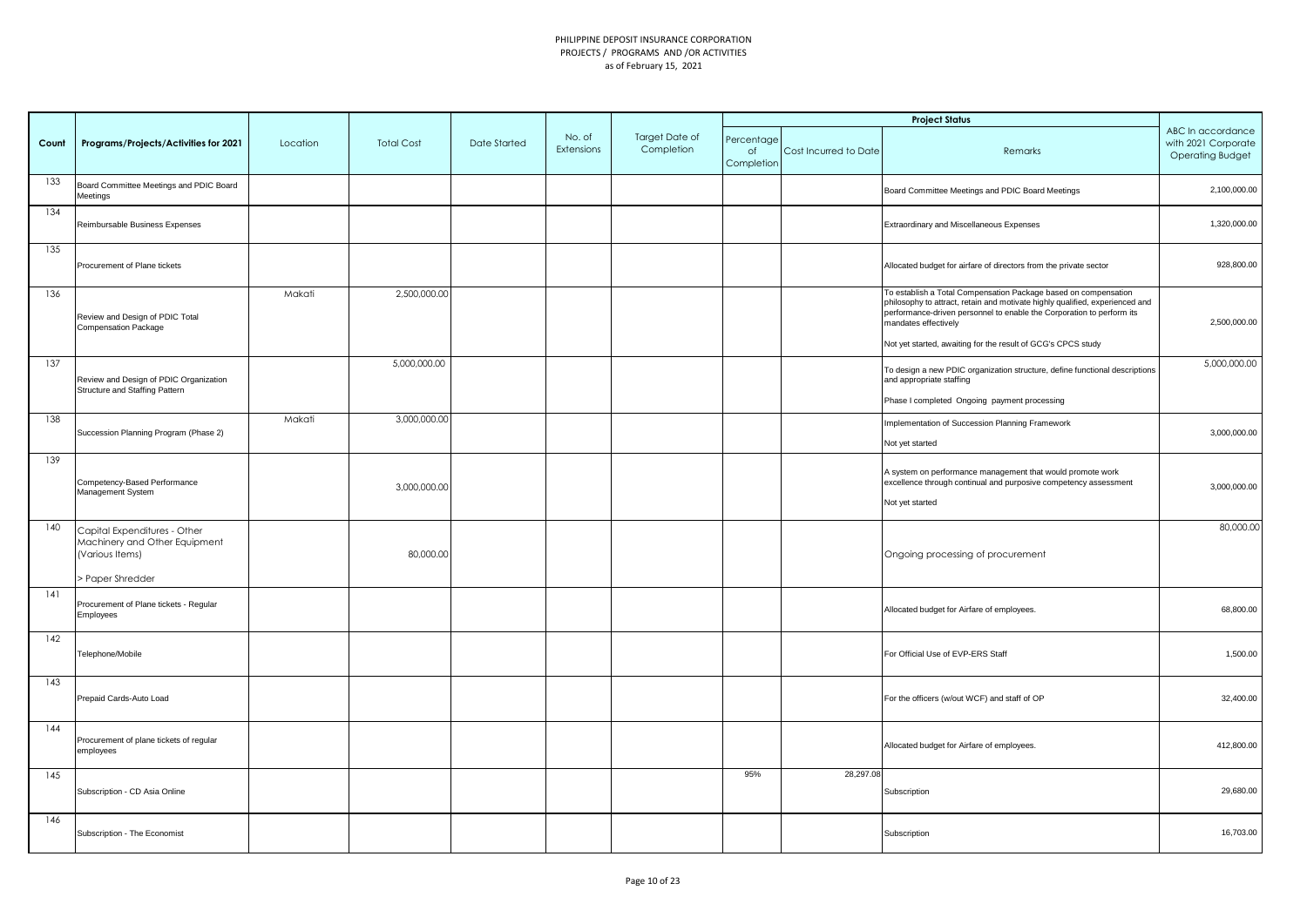|       |                                                                                                    |          |                   |              |                      |                              |                                |                       | <b>Project Status</b>                                                                                                                                                                                                                                                                                            |                                                                     |
|-------|----------------------------------------------------------------------------------------------------|----------|-------------------|--------------|----------------------|------------------------------|--------------------------------|-----------------------|------------------------------------------------------------------------------------------------------------------------------------------------------------------------------------------------------------------------------------------------------------------------------------------------------------------|---------------------------------------------------------------------|
| Count | Programs/Projects/Activities for 2021                                                              | Location | <b>Total Cost</b> | Date Started | No. of<br>Extensions | Target Date of<br>Completion | Percentage<br>of<br>Completion | Cost Incurred to Date | Remarks                                                                                                                                                                                                                                                                                                          | ABC In accordance<br>with 2021 Corporate<br><b>Operating Budget</b> |
| 133   | Board Committee Meetings and PDIC Board<br>Meetings                                                |          |                   |              |                      |                              |                                |                       | Board Committee Meetings and PDIC Board Meetings                                                                                                                                                                                                                                                                 | 2,100,000.00                                                        |
| 134   | Reimbursable Business Expenses                                                                     |          |                   |              |                      |                              |                                |                       | Extraordinary and Miscellaneous Expenses                                                                                                                                                                                                                                                                         | 1,320,000.00                                                        |
| 135   | Procurement of Plane tickets                                                                       |          |                   |              |                      |                              |                                |                       | Allocated budget for airfare of directors from the private sector                                                                                                                                                                                                                                                | 928,800.00                                                          |
| 136   | Review and Design of PDIC Total<br><b>Compensation Package</b>                                     | Makati   | 2,500,000.00      |              |                      |                              |                                |                       | To establish a Total Compensation Package based on compensation<br>philosophy to attract, retain and motivate highly qualified, experienced and<br>performance-driven personnel to enable the Corporation to perform its<br>mandates effectively<br>Not yet started, awaiting for the result of GCG's CPCS study | 2,500,000.00                                                        |
| 137   | Review and Design of PDIC Organization<br>Structure and Staffing Pattern                           |          | 5,000,000.00      |              |                      |                              |                                |                       | To design a new PDIC organization structure, define functional descriptions<br>and appropriate staffing                                                                                                                                                                                                          | 5,000,000.00                                                        |
|       |                                                                                                    |          |                   |              |                      |                              |                                |                       | Phase I completed Ongoing payment processing                                                                                                                                                                                                                                                                     |                                                                     |
| 138   | Succession Planning Program (Phase 2)                                                              | Makati   | 3,000,000.00      |              |                      |                              |                                |                       | Implementation of Succession Planning Framework<br>Not yet started                                                                                                                                                                                                                                               | 3,000,000.00                                                        |
| 139   | Competency-Based Performance<br>Management System                                                  |          | 3,000,000.00      |              |                      |                              |                                |                       | A system on performance management that would promote work<br>excellence through continual and purposive competency assessment<br>Not yet started                                                                                                                                                                | 3,000,000.00                                                        |
| 140   | Capital Expenditures - Other<br>Machinery and Other Equipment<br>(Various Items)<br>Paper Shredder |          | 80,000.00         |              |                      |                              |                                |                       | Ongoing processing of procurement                                                                                                                                                                                                                                                                                | 80,000.00                                                           |
| 141   | Procurement of Plane tickets - Regular<br>Employees                                                |          |                   |              |                      |                              |                                |                       | Allocated budget for Airfare of employees.                                                                                                                                                                                                                                                                       | 68,800.00                                                           |
| 142   | Telephone/Mobile                                                                                   |          |                   |              |                      |                              |                                |                       | For Official Use of EVP-ERS Staff                                                                                                                                                                                                                                                                                | 1,500.00                                                            |
| 143   | Prepaid Cards-Auto Load                                                                            |          |                   |              |                      |                              |                                |                       | For the officers (w/out WCF) and staff of OP                                                                                                                                                                                                                                                                     | 32,400.00                                                           |
| 144   | Procurement of plane tickets of regular<br>employees                                               |          |                   |              |                      |                              |                                |                       | Allocated budget for Airfare of employees.                                                                                                                                                                                                                                                                       | 412,800.00                                                          |
| 145   | Subscription - CD Asia Online                                                                      |          |                   |              |                      |                              | 95%                            | 28,297.08             | Subscription                                                                                                                                                                                                                                                                                                     | 29,680.00                                                           |
| 146   | Subscription - The Economist                                                                       |          |                   |              |                      |                              |                                |                       | Subscription                                                                                                                                                                                                                                                                                                     | 16,703.00                                                           |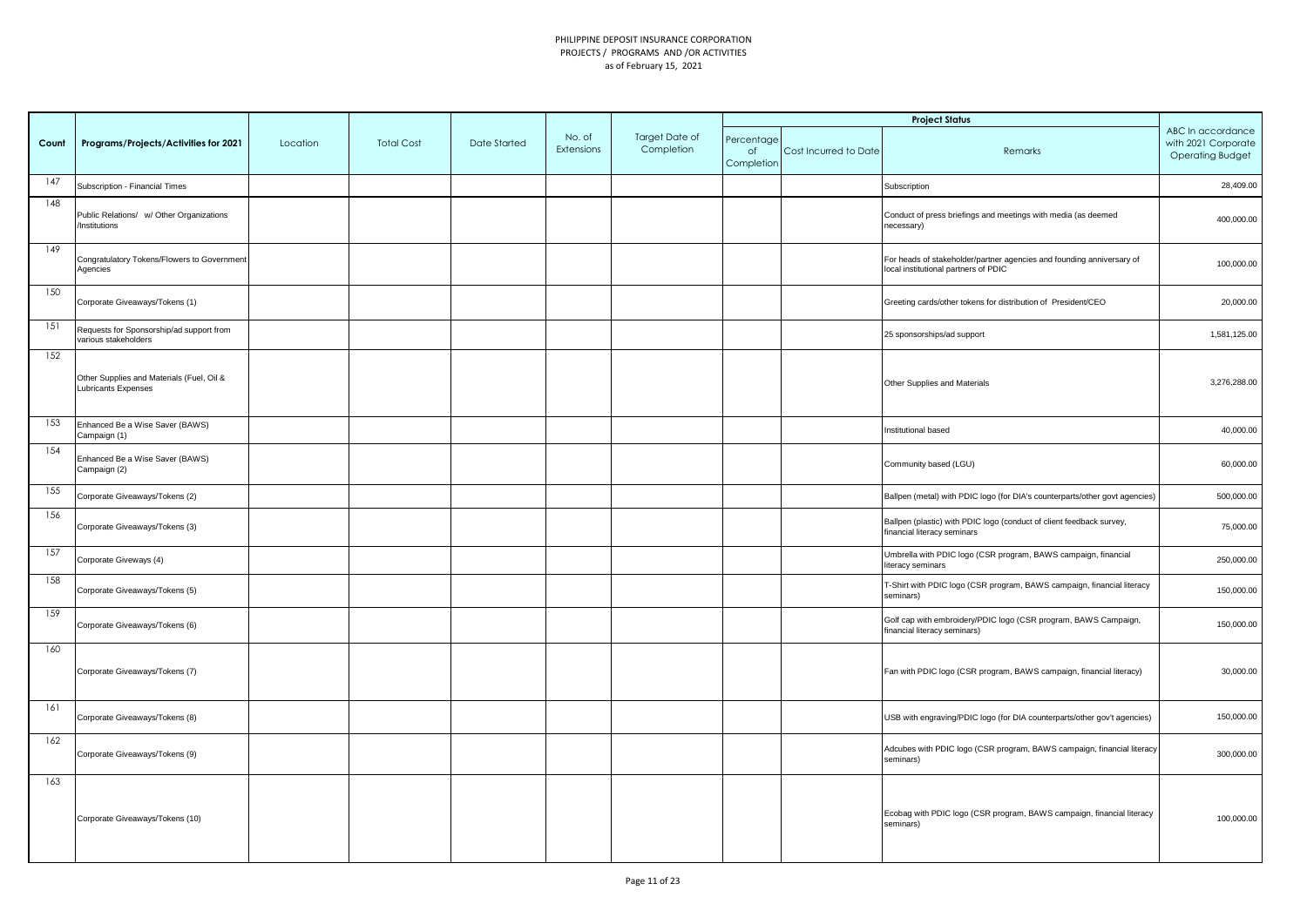|       |                                                                         |          |                   |              |                      |                              |                                |                       | <b>Project Status</b>                                                                                         |                                                                     |
|-------|-------------------------------------------------------------------------|----------|-------------------|--------------|----------------------|------------------------------|--------------------------------|-----------------------|---------------------------------------------------------------------------------------------------------------|---------------------------------------------------------------------|
| Count | Programs/Projects/Activities for 2021                                   | Location | <b>Total Cost</b> | Date Started | No. of<br>Extensions | Target Date of<br>Completion | Percentage<br>of<br>Completion | Cost Incurred to Date | Remarks                                                                                                       | ABC In accordance<br>with 2021 Corporate<br><b>Operating Budget</b> |
| 147   | Subscription - Financial Times                                          |          |                   |              |                      |                              |                                |                       | Subscription                                                                                                  | 28,409.00                                                           |
| 148   | Public Relations/ w/ Other Organizations<br>Institutions                |          |                   |              |                      |                              |                                |                       | Conduct of press briefings and meetings with media (as deemed<br>ecessary)                                    | 400,000.00                                                          |
| 149   | Congratulatory Tokens/Flowers to Government<br>Agencies                 |          |                   |              |                      |                              |                                |                       | For heads of stakeholder/partner agencies and founding anniversary of<br>local institutional partners of PDIC | 100,000.00                                                          |
| 150   | Corporate Giveaways/Tokens (1)                                          |          |                   |              |                      |                              |                                |                       | Greeting cards/other tokens for distribution of President/CEO                                                 | 20,000.00                                                           |
| 151   | Requests for Sponsorship/ad support from<br>various stakeholders        |          |                   |              |                      |                              |                                |                       | 25 sponsorships/ad support                                                                                    | 1,581,125.00                                                        |
| 152   | Other Supplies and Materials (Fuel, Oil &<br><b>Lubricants Expenses</b> |          |                   |              |                      |                              |                                |                       | Other Supplies and Materials                                                                                  | 3,276,288.00                                                        |
| 153   | Enhanced Be a Wise Saver (BAWS)<br>Campaign (1)                         |          |                   |              |                      |                              |                                |                       | nstitutional based                                                                                            | 40,000.00                                                           |
| 154   | Enhanced Be a Wise Saver (BAWS)<br>Campaign (2)                         |          |                   |              |                      |                              |                                |                       | Community based (LGU)                                                                                         | 60,000.00                                                           |
| 155   | Corporate Giveaways/Tokens (2)                                          |          |                   |              |                      |                              |                                |                       | Ballpen (metal) with PDIC logo (for DIA's counterparts/other govt agencies)                                   | 500,000.00                                                          |
| 156   | Corporate Giveaways/Tokens (3)                                          |          |                   |              |                      |                              |                                |                       | Ballpen (plastic) with PDIC logo (conduct of client feedback survey,<br>financial literacy seminars           | 75,000.00                                                           |
| 157   | Corporate Giveways (4)                                                  |          |                   |              |                      |                              |                                |                       | Umbrella with PDIC logo (CSR program, BAWS campaign, financial<br>iteracy seminars                            | 250,000.00                                                          |
| 158   | Corporate Giveaways/Tokens (5)                                          |          |                   |              |                      |                              |                                |                       | T-Shirt with PDIC logo (CSR program, BAWS campaign, financial literacy<br>seminars)                           | 150,000.00                                                          |
| 159   | Corporate Giveaways/Tokens (6)                                          |          |                   |              |                      |                              |                                |                       | Golf cap with embroidery/PDIC logo (CSR program, BAWS Campaign,<br>financial literacy seminars)               | 150,000.00                                                          |
| 160   | Corporate Giveaways/Tokens (7)                                          |          |                   |              |                      |                              |                                |                       | Fan with PDIC logo (CSR program, BAWS campaign, financial literacy)                                           | 30,000.00                                                           |
| 161   | Corporate Giveaways/Tokens (8)                                          |          |                   |              |                      |                              |                                |                       | USB with engraving/PDIC logo (for DIA counterparts/other gov't agencies)                                      | 150,000.00                                                          |
| 162   | Corporate Giveaways/Tokens (9)                                          |          |                   |              |                      |                              |                                |                       | Adcubes with PDIC logo (CSR program, BAWS campaign, financial literacy<br>seminars)                           | 300,000.00                                                          |
| 163   | Corporate Giveaways/Tokens (10)                                         |          |                   |              |                      |                              |                                |                       | Ecobag with PDIC logo (CSR program, BAWS campaign, financial literacy<br>seminars)                            | 100,000.00                                                          |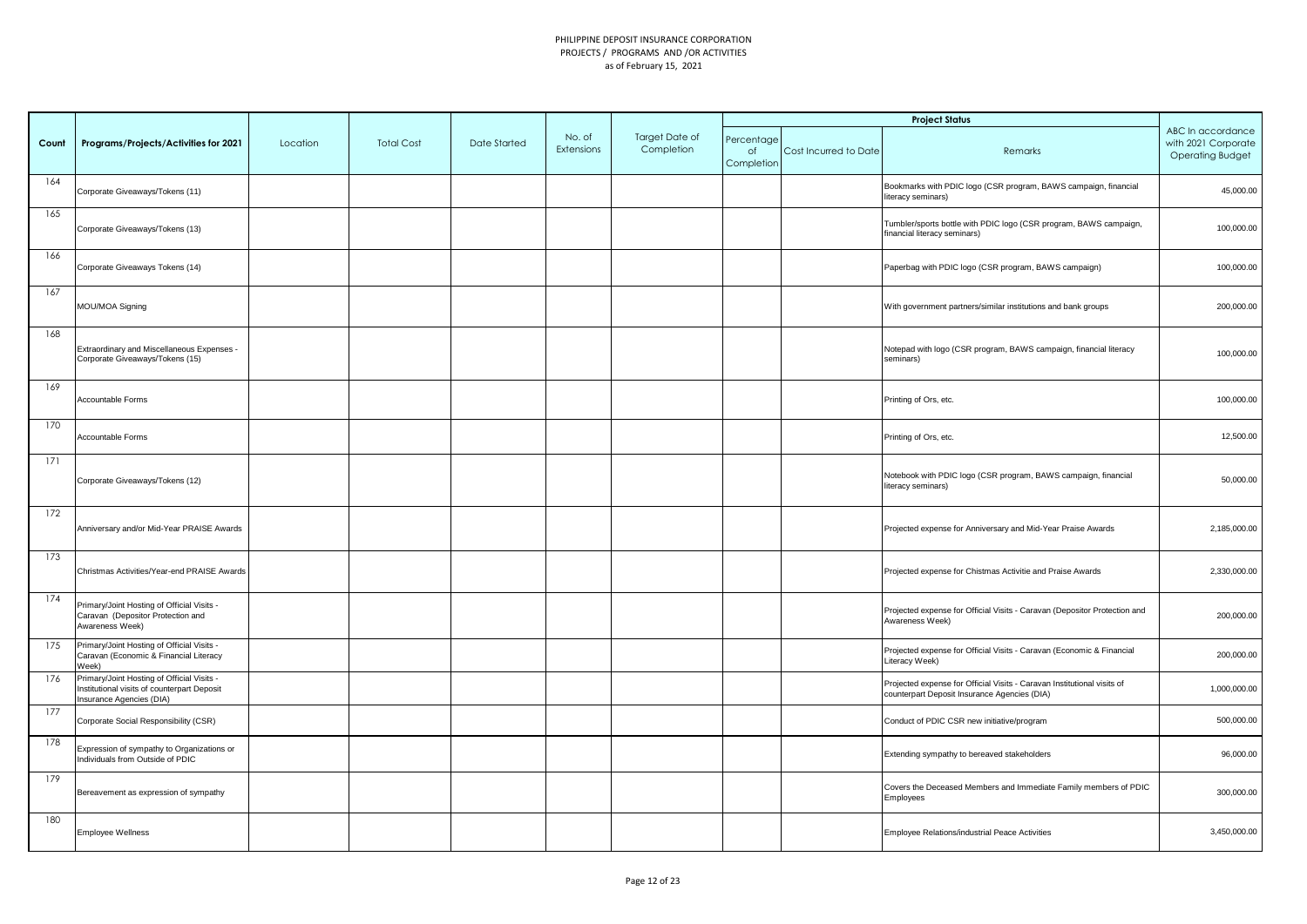|       |                                                                                                                       |          |                   |              |                      |                              |                                |                       | <b>Project Status</b>                                                                                                   |                                                                     |
|-------|-----------------------------------------------------------------------------------------------------------------------|----------|-------------------|--------------|----------------------|------------------------------|--------------------------------|-----------------------|-------------------------------------------------------------------------------------------------------------------------|---------------------------------------------------------------------|
| Count | Programs/Projects/Activities for 2021                                                                                 | Location | <b>Total Cost</b> | Date Started | No. of<br>Extensions | Target Date of<br>Completion | Percentage<br>of<br>Completion | Cost Incurred to Date | Remarks                                                                                                                 | ABC In accordance<br>with 2021 Corporate<br><b>Operating Budget</b> |
| 164   | Corporate Giveaways/Tokens (11)                                                                                       |          |                   |              |                      |                              |                                |                       | Bookmarks with PDIC logo (CSR program, BAWS campaign, financial<br>literacy seminars)                                   | 45,000.00                                                           |
| 165   | Corporate Giveaways/Tokens (13)                                                                                       |          |                   |              |                      |                              |                                |                       | Tumbler/sports bottle with PDIC logo (CSR program, BAWS campaign,<br>financial literacy seminars)                       | 100,000.00                                                          |
| 166   | Corporate Giveaways Tokens (14)                                                                                       |          |                   |              |                      |                              |                                |                       | Paperbag with PDIC logo (CSR program, BAWS campaign)                                                                    | 100,000.00                                                          |
| 167   | MOU/MOA Signing                                                                                                       |          |                   |              |                      |                              |                                |                       | With government partners/similar institutions and bank groups                                                           | 200,000.00                                                          |
| 168   | Extraordinary and Miscellaneous Expenses -<br>Corporate Giveaways/Tokens (15)                                         |          |                   |              |                      |                              |                                |                       | Notepad with logo (CSR program, BAWS campaign, financial literacy<br>seminars)                                          | 100,000.00                                                          |
| 169   | Accountable Forms                                                                                                     |          |                   |              |                      |                              |                                |                       | Printing of Ors, etc.                                                                                                   | 100,000.00                                                          |
| 170   | Accountable Forms                                                                                                     |          |                   |              |                      |                              |                                |                       | Printing of Ors, etc.                                                                                                   | 12,500.00                                                           |
| 171   | Corporate Giveaways/Tokens (12)                                                                                       |          |                   |              |                      |                              |                                |                       | Notebook with PDIC logo (CSR program, BAWS campaign, financial<br>literacy seminars)                                    | 50,000.00                                                           |
| 172   | Anniversary and/or Mid-Year PRAISE Awards                                                                             |          |                   |              |                      |                              |                                |                       | Projected expense for Anniversary and Mid-Year Praise Awards                                                            | 2,185,000.00                                                        |
| 173   | Christmas Activities/Year-end PRAISE Awards                                                                           |          |                   |              |                      |                              |                                |                       | Projected expense for Chistmas Activitie and Praise Awards                                                              | 2,330,000.00                                                        |
| 174   | Primary/Joint Hosting of Official Visits -<br>Caravan (Depositor Protection and<br>Awareness Week)                    |          |                   |              |                      |                              |                                |                       | Projected expense for Official Visits - Caravan (Depositor Protection and<br>Awareness Week)                            | 200,000.00                                                          |
| 175   | Primary/Joint Hosting of Official Visits -<br>Caravan (Economic & Financial Literacy<br>Week)                         |          |                   |              |                      |                              |                                |                       | Projected expense for Official Visits - Caravan (Economic & Financial<br>Literacy Week)                                 | 200,000.00                                                          |
| 176   | Primary/Joint Hosting of Official Visits -<br>Institutional visits of counterpart Deposit<br>Insurance Agencies (DIA) |          |                   |              |                      |                              |                                |                       | Projected expense for Official Visits - Caravan Institutional visits of<br>counterpart Deposit Insurance Agencies (DIA) | 1,000,000.00                                                        |
| 177   | Corporate Social Responsibility (CSR)                                                                                 |          |                   |              |                      |                              |                                |                       | Conduct of PDIC CSR new initiative/program                                                                              | 500,000.00                                                          |
| 178   | Expression of sympathy to Organizations or<br>Individuals from Outside of PDIC                                        |          |                   |              |                      |                              |                                |                       | Extending sympathy to bereaved stakeholders                                                                             | 96,000.00                                                           |
| 179   | Bereavement as expression of sympathy                                                                                 |          |                   |              |                      |                              |                                |                       | Covers the Deceased Members and Immediate Family members of PDIC<br>Employees                                           | 300,000.00                                                          |
| 180   | Employee Wellness                                                                                                     |          |                   |              |                      |                              |                                |                       | Employee Relations/industrial Peace Activities                                                                          | 3,450,000.00                                                        |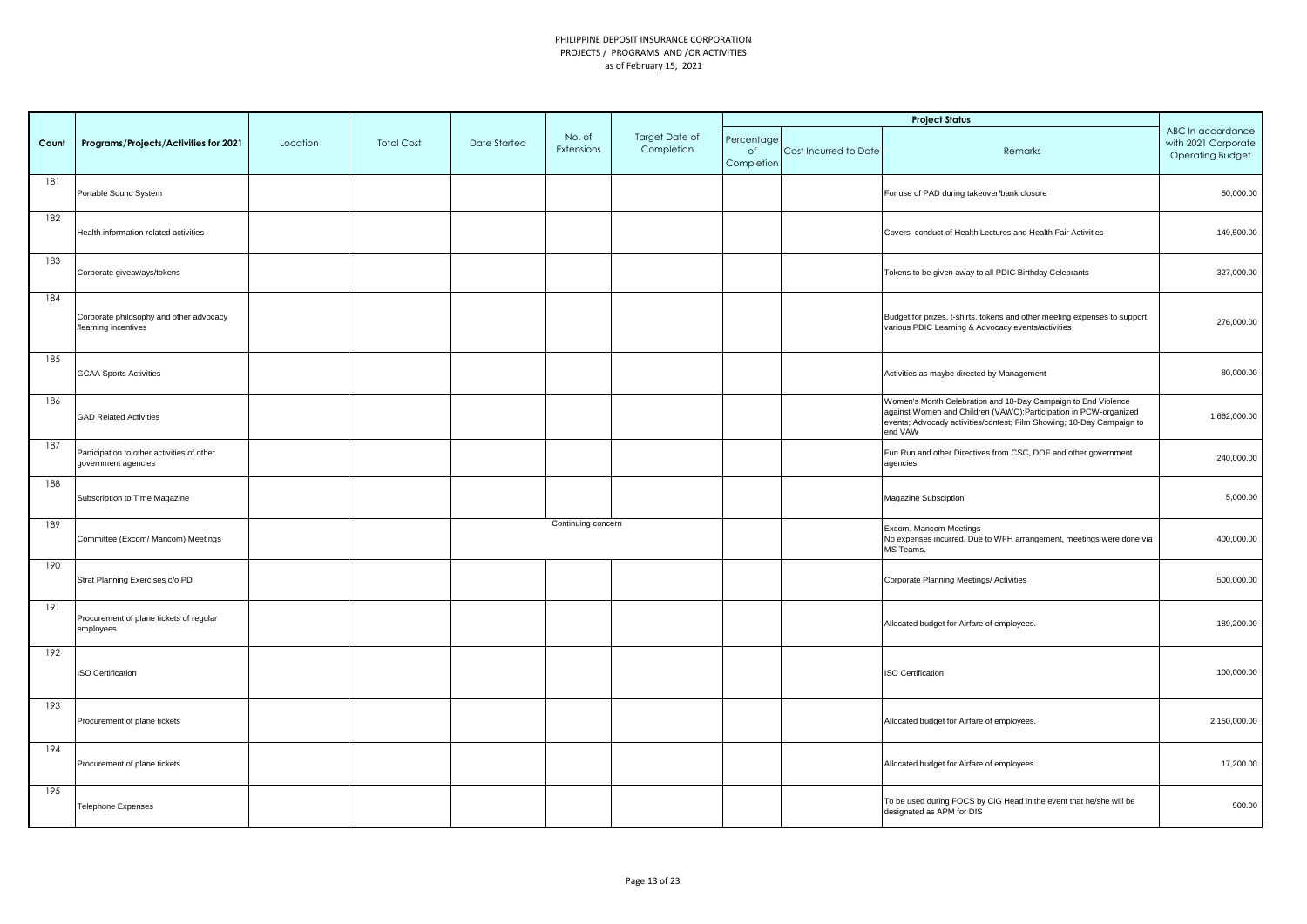|       |                                                                   |          |                   |              |                      |                              |                                |                       | <b>Project Status</b>                                                                                                                                                                                                 |                                                                     |
|-------|-------------------------------------------------------------------|----------|-------------------|--------------|----------------------|------------------------------|--------------------------------|-----------------------|-----------------------------------------------------------------------------------------------------------------------------------------------------------------------------------------------------------------------|---------------------------------------------------------------------|
| Count | Programs/Projects/Activities for 2021                             | Location | <b>Total Cost</b> | Date Started | No. of<br>Extensions | Target Date of<br>Completion | Percentage<br>of<br>Completion | Cost Incurred to Date | Remarks                                                                                                                                                                                                               | ABC In accordance<br>with 2021 Corporate<br><b>Operating Budget</b> |
| 181   | Portable Sound System                                             |          |                   |              |                      |                              |                                |                       | For use of PAD during takeover/bank closure                                                                                                                                                                           | 50,000.00                                                           |
| 182   | Health information related activities                             |          |                   |              |                      |                              |                                |                       | Covers conduct of Health Lectures and Health Fair Activities                                                                                                                                                          | 149,500.00                                                          |
| 183   | Corporate giveaways/tokens                                        |          |                   |              |                      |                              |                                |                       | Tokens to be given away to all PDIC Birthday Celebrants                                                                                                                                                               | 327,000.00                                                          |
| 184   | Corporate philosophy and other advocacy<br>/learning incentives   |          |                   |              |                      |                              |                                |                       | Budget for prizes, t-shirts, tokens and other meeting expenses to support<br>various PDIC Learning & Advocacy events/activities                                                                                       | 276,000.00                                                          |
| 185   | <b>GCAA Sports Activities</b>                                     |          |                   |              |                      |                              |                                |                       | Activities as maybe directed by Management                                                                                                                                                                            | 80,000.00                                                           |
| 186   | <b>GAD Related Activities</b>                                     |          |                   |              |                      |                              |                                |                       | Women's Month Celebration and 18-Day Campaign to End Violence<br>against Women and Children (VAWC);Participation in PCW-organized<br>events; Advocady activities/contest; Film Showing; 18-Day Campaign to<br>end VAW | 1,662,000.00                                                        |
| 187   | Participation to other activities of other<br>government agencies |          |                   |              |                      |                              |                                |                       | Fun Run and other Directives from CSC, DOF and other government<br>agencies                                                                                                                                           | 240,000.00                                                          |
| 188   | Subscription to Time Magazine                                     |          |                   |              |                      |                              |                                |                       | Magazine Subsciption                                                                                                                                                                                                  | 5,000.00                                                            |
| 189   | Committee (Excom/ Mancom) Meetings                                |          |                   |              | Continuing concern   |                              |                                |                       | Excom, Mancom Meetings<br>No expenses incurred. Due to WFH arrangement, meetings were done via<br>MS Teams.                                                                                                           | 400,000.00                                                          |
| 190   | Strat Planning Exercises c/o PD                                   |          |                   |              |                      |                              |                                |                       | Corporate Planning Meetings/ Activities                                                                                                                                                                               | 500,000.00                                                          |
| 191   | Procurement of plane tickets of regular<br>employees              |          |                   |              |                      |                              |                                |                       | Allocated budget for Airfare of employees.                                                                                                                                                                            | 189,200.00                                                          |
| 192   | <b>ISO Certification</b>                                          |          |                   |              |                      |                              |                                |                       | <b>ISO Certification</b>                                                                                                                                                                                              | 100,000.00                                                          |
| 193   | Procurement of plane tickets                                      |          |                   |              |                      |                              |                                |                       | Allocated budget for Airfare of employees.                                                                                                                                                                            | 2,150,000.00                                                        |
| 194   | Procurement of plane tickets                                      |          |                   |              |                      |                              |                                |                       | Allocated budget for Airfare of employees.                                                                                                                                                                            | 17,200.00                                                           |
| 195   | <b>Telephone Expenses</b>                                         |          |                   |              |                      |                              |                                |                       | To be used during FOCS by CIG Head in the event that he/she will be<br>designated as APM for DIS                                                                                                                      | 900.00                                                              |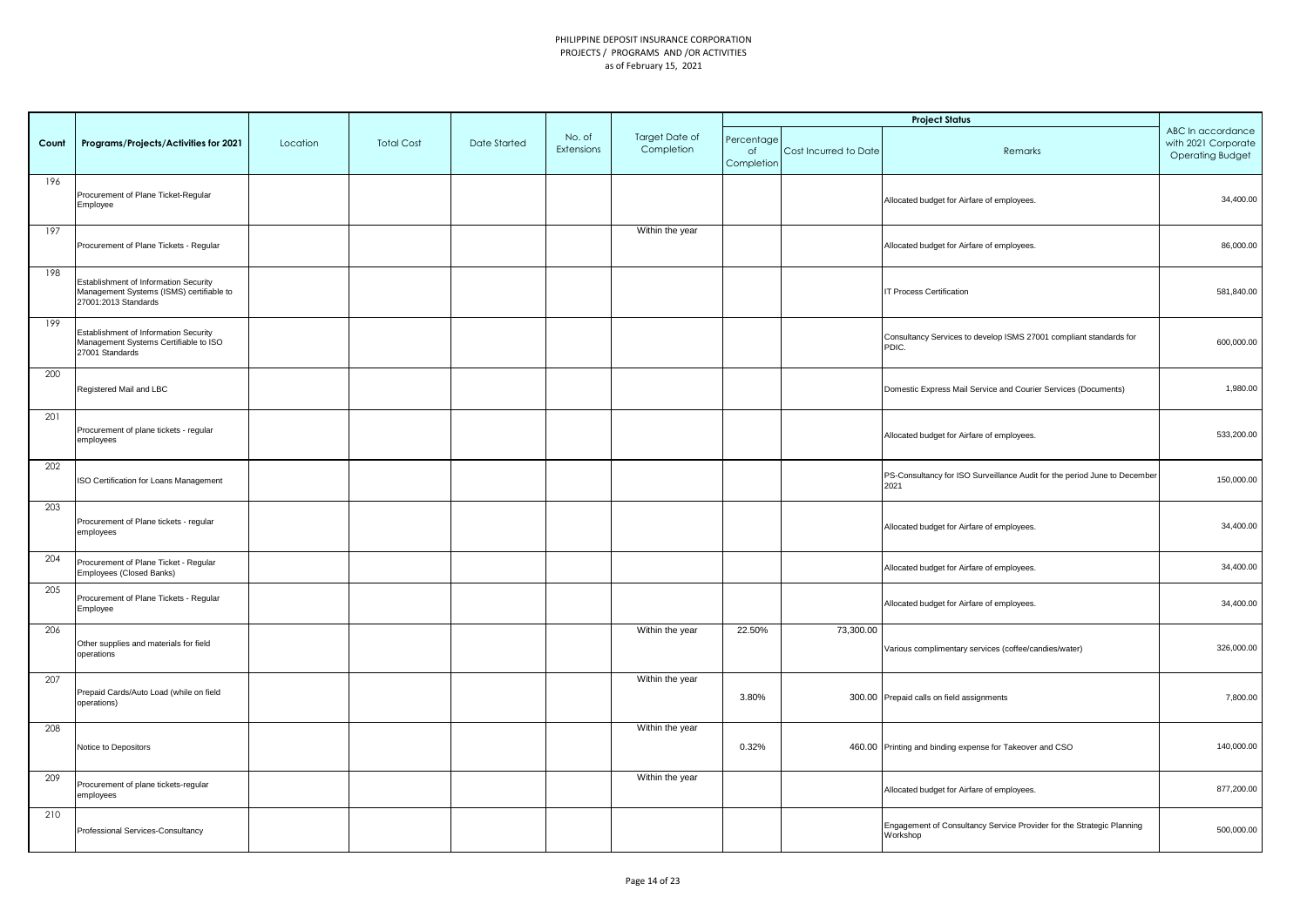|       |                                                                                                                  |          |                   |              |                      |                              |                                |                       | <b>Project Status</b>                                                             |                                                                     |
|-------|------------------------------------------------------------------------------------------------------------------|----------|-------------------|--------------|----------------------|------------------------------|--------------------------------|-----------------------|-----------------------------------------------------------------------------------|---------------------------------------------------------------------|
| Count | Programs/Projects/Activities for 2021                                                                            | Location | <b>Total Cost</b> | Date Started | No. of<br>Extensions | Target Date of<br>Completion | Percentage<br>of<br>Completion | Cost Incurred to Date | Remarks                                                                           | ABC In accordance<br>with 2021 Corporate<br><b>Operating Budget</b> |
| 196   | Procurement of Plane Ticket-Regular<br>Employee                                                                  |          |                   |              |                      |                              |                                |                       | Allocated budget for Airfare of employees.                                        | 34,400.00                                                           |
| 197   | Procurement of Plane Tickets - Regular                                                                           |          |                   |              |                      | Within the year              |                                |                       | Allocated budget for Airfare of employees.                                        | 86,000.00                                                           |
| 198   | <b>Establishment of Information Security</b><br>Management Systems (ISMS) certifiable to<br>27001:2013 Standards |          |                   |              |                      |                              |                                |                       | <b>IT Process Certification</b>                                                   | 581,840.00                                                          |
| 199   | Establishment of Information Security<br>Management Systems Certifiable to ISO<br>27001 Standards                |          |                   |              |                      |                              |                                |                       | Consultancy Services to develop ISMS 27001 compliant standards for<br>PDIC.       | 600,000.00                                                          |
| 200   | Registered Mail and LBC                                                                                          |          |                   |              |                      |                              |                                |                       | Domestic Express Mail Service and Courier Services (Documents)                    | 1,980.00                                                            |
| 201   | Procurement of plane tickets - regular<br>employees                                                              |          |                   |              |                      |                              |                                |                       | Allocated budget for Airfare of employees.                                        | 533,200.00                                                          |
| 202   | ISO Certification for Loans Management                                                                           |          |                   |              |                      |                              |                                |                       | PS-Consultancy for ISO Surveillance Audit for the period June to December<br>2021 | 150,000.00                                                          |
| 203   | Procurement of Plane tickets - regular<br>employees                                                              |          |                   |              |                      |                              |                                |                       | Allocated budget for Airfare of employees.                                        | 34,400.00                                                           |
| 204   | Procurement of Plane Ticket - Regular<br>Employees (Closed Banks)                                                |          |                   |              |                      |                              |                                |                       | Allocated budget for Airfare of employees.                                        | 34,400.00                                                           |
| 205   | Procurement of Plane Tickets - Regular<br>Employee                                                               |          |                   |              |                      |                              |                                |                       | Allocated budget for Airfare of employees.                                        | 34,400.00                                                           |
| 206   | Other supplies and materials for field<br>operations                                                             |          |                   |              |                      | Within the year              | 22.50%                         | 73,300.00             | Various complimentary services (coffee/candies/water)                             | 326,000.00                                                          |
| 207   | Prepaid Cards/Auto Load (while on field<br>operations)                                                           |          |                   |              |                      | Within the year              | 3.80%                          |                       | 300.00 Prepaid calls on field assignments                                         | 7,800.00                                                            |
| 208   | Notice to Depositors                                                                                             |          |                   |              |                      | Within the year              | 0.32%                          |                       | 460.00 Printing and binding expense for Takeover and CSO                          | 140,000.00                                                          |
| 209   | Procurement of plane tickets-regular<br>employees                                                                |          |                   |              |                      | Within the year              |                                |                       | Allocated budget for Airfare of employees.                                        | 877,200.00                                                          |
| 210   | Professional Services-Consultancy                                                                                |          |                   |              |                      |                              |                                |                       | Engagement of Consultancy Service Provider for the Strategic Planning<br>Workshop | 500,000.00                                                          |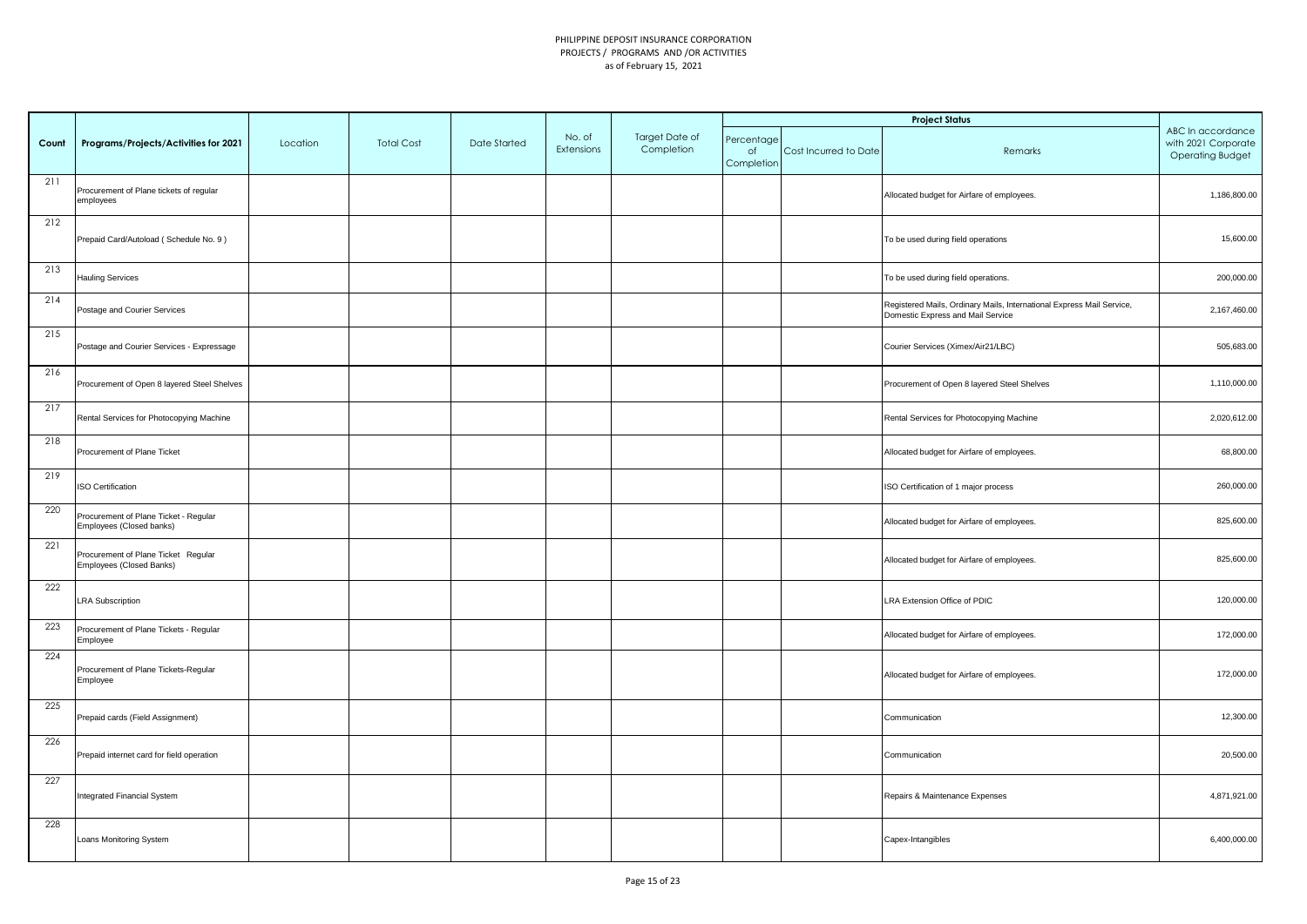|       |                                                                   |          |                   |              |                      |                              |                                |                       | <b>Project Status</b>                                                                                      |                                                                     |
|-------|-------------------------------------------------------------------|----------|-------------------|--------------|----------------------|------------------------------|--------------------------------|-----------------------|------------------------------------------------------------------------------------------------------------|---------------------------------------------------------------------|
| Count | Programs/Projects/Activities for 2021                             | Location | <b>Total Cost</b> | Date Started | No. of<br>Extensions | Target Date of<br>Completion | Percentage<br>of<br>Completion | Cost Incurred to Date | Remarks                                                                                                    | ABC In accordance<br>with 2021 Corporate<br><b>Operating Budget</b> |
| 211   | Procurement of Plane tickets of regular<br>employees              |          |                   |              |                      |                              |                                |                       | Allocated budget for Airfare of employees.                                                                 | 1,186,800.00                                                        |
| 212   | Prepaid Card/Autoload (Schedule No. 9)                            |          |                   |              |                      |                              |                                |                       | To be used during field operations                                                                         | 15,600.00                                                           |
| 213   | Hauling Services                                                  |          |                   |              |                      |                              |                                |                       | To be used during field operations.                                                                        | 200,000.00                                                          |
| 214   | Postage and Courier Services                                      |          |                   |              |                      |                              |                                |                       | Registered Mails, Ordinary Mails, International Express Mail Service,<br>Domestic Express and Mail Service | 2,167,460.00                                                        |
| 215   | Postage and Courier Services - Expressage                         |          |                   |              |                      |                              |                                |                       | Courier Services (Ximex/Air21/LBC)                                                                         | 505,683.00                                                          |
| 216   | Procurement of Open 8 layered Steel Shelves                       |          |                   |              |                      |                              |                                |                       | Procurement of Open 8 layered Steel Shelves                                                                | 1,110,000.00                                                        |
| 217   | Rental Services for Photocopying Machine                          |          |                   |              |                      |                              |                                |                       | Rental Services for Photocopying Machine                                                                   | 2,020,612.00                                                        |
| 218   | Procurement of Plane Ticket                                       |          |                   |              |                      |                              |                                |                       | Allocated budget for Airfare of employees.                                                                 | 68,800.00                                                           |
| 219   | <b>ISO Certification</b>                                          |          |                   |              |                      |                              |                                |                       | ISO Certification of 1 major process                                                                       | 260,000.00                                                          |
| 220   | Procurement of Plane Ticket - Regular<br>Employees (Closed banks) |          |                   |              |                      |                              |                                |                       | Allocated budget for Airfare of employees.                                                                 | 825,600.00                                                          |
| 221   | Procurement of Plane Ticket Regular<br>Employees (Closed Banks)   |          |                   |              |                      |                              |                                |                       | Allocated budget for Airfare of employees.                                                                 | 825,600.00                                                          |
| 222   | <b>LRA Subscription</b>                                           |          |                   |              |                      |                              |                                |                       | LRA Extension Office of PDIC                                                                               | 120,000.00                                                          |
| 223   | Procurement of Plane Tickets - Regular<br>Employee                |          |                   |              |                      |                              |                                |                       | Allocated budget for Airfare of employees.                                                                 | 172,000.00                                                          |
| 224   | Procurement of Plane Tickets-Regular<br>Employee                  |          |                   |              |                      |                              |                                |                       | Allocated budget for Airfare of employees.                                                                 | 172,000.00                                                          |
| 225   | Prepaid cards (Field Assignment)                                  |          |                   |              |                      |                              |                                |                       | Communication                                                                                              | 12,300.00                                                           |
| 226   | Prepaid internet card for field operation                         |          |                   |              |                      |                              |                                |                       | Communication                                                                                              | 20,500.00                                                           |
| 227   | <b>Integrated Financial System</b>                                |          |                   |              |                      |                              |                                |                       | Repairs & Maintenance Expenses                                                                             | 4,871,921.00                                                        |
| 228   | Loans Monitoring System                                           |          |                   |              |                      |                              |                                |                       | Capex-Intangibles                                                                                          | 6,400,000.00                                                        |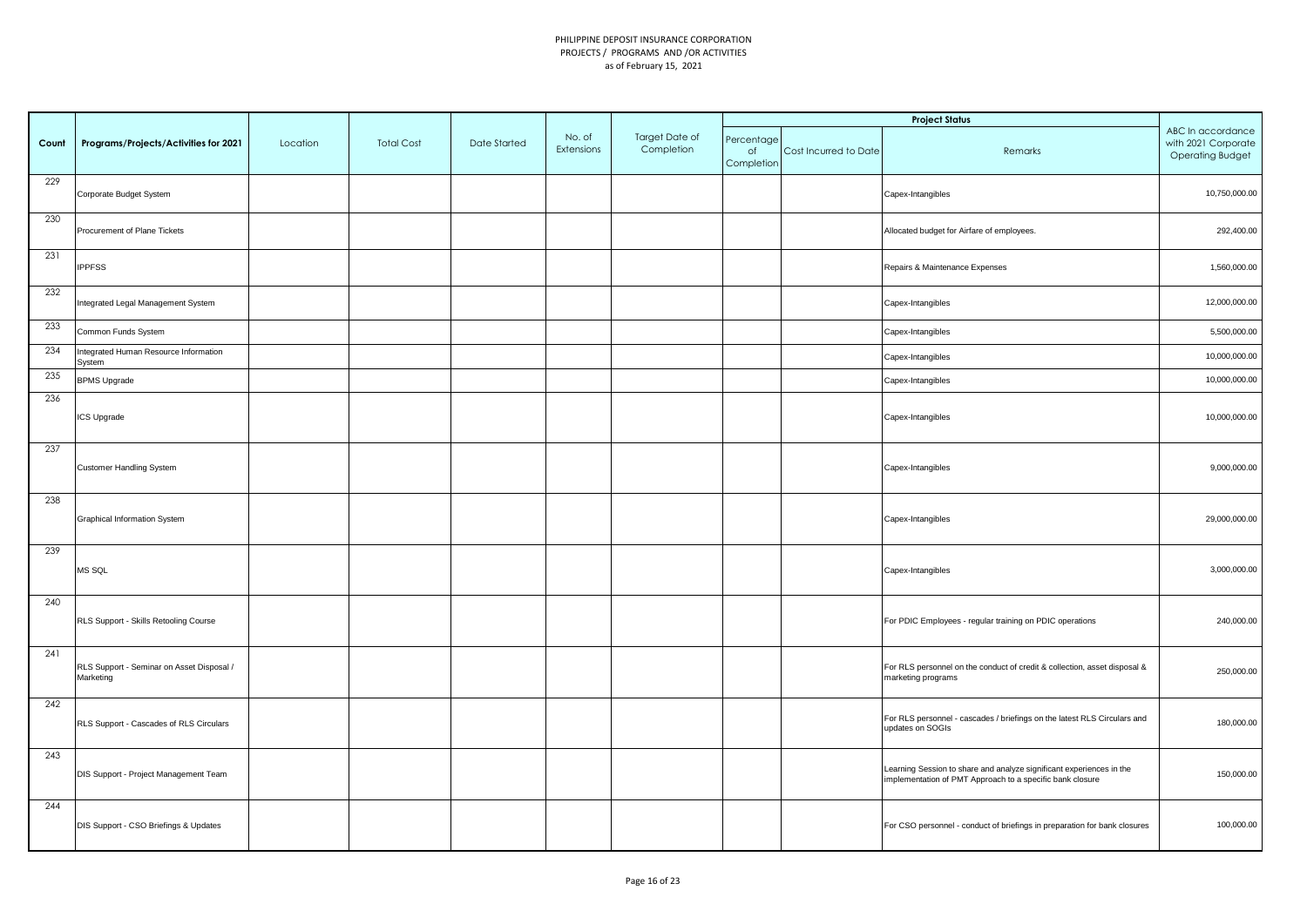|       |                                                        |          |                   |              |                      |                              |                                |                       | <b>Project Status</b>                                                                                                             |                                                                     |
|-------|--------------------------------------------------------|----------|-------------------|--------------|----------------------|------------------------------|--------------------------------|-----------------------|-----------------------------------------------------------------------------------------------------------------------------------|---------------------------------------------------------------------|
| Count | Programs/Projects/Activities for 2021                  | Location | <b>Total Cost</b> | Date Started | No. of<br>Extensions | Target Date of<br>Completion | Percentage<br>of<br>Completion | Cost Incurred to Date | Remarks                                                                                                                           | ABC In accordance<br>with 2021 Corporate<br><b>Operating Budget</b> |
| 229   | Corporate Budget System                                |          |                   |              |                      |                              |                                |                       | Capex-Intangibles                                                                                                                 | 10,750,000.00                                                       |
| 230   | Procurement of Plane Tickets                           |          |                   |              |                      |                              |                                |                       | Allocated budget for Airfare of employees.                                                                                        | 292,400.00                                                          |
| 231   | <b>IPPFSS</b>                                          |          |                   |              |                      |                              |                                |                       | Repairs & Maintenance Expenses                                                                                                    | 1,560,000.00                                                        |
| 232   | Integrated Legal Management System                     |          |                   |              |                      |                              |                                |                       | Capex-Intangibles                                                                                                                 | 12,000,000.00                                                       |
| 233   | Common Funds System                                    |          |                   |              |                      |                              |                                |                       | Capex-Intangibles                                                                                                                 | 5,500,000.00                                                        |
| 234   | Integrated Human Resource Information<br>System        |          |                   |              |                      |                              |                                |                       | Capex-Intangibles                                                                                                                 | 10,000,000.00                                                       |
| 235   | <b>BPMS Upgrade</b>                                    |          |                   |              |                      |                              |                                |                       | Capex-Intangibles                                                                                                                 | 10,000,000.00                                                       |
| 236   | ICS Upgrade                                            |          |                   |              |                      |                              |                                |                       | Capex-Intangibles                                                                                                                 | 10,000,000.00                                                       |
| 237   | <b>Customer Handling System</b>                        |          |                   |              |                      |                              |                                |                       | Capex-Intangibles                                                                                                                 | 9,000,000.00                                                        |
| 238   | <b>Graphical Information System</b>                    |          |                   |              |                      |                              |                                |                       | Capex-Intangibles                                                                                                                 | 29,000,000.00                                                       |
| 239   | MS SQL                                                 |          |                   |              |                      |                              |                                |                       | Capex-Intangibles                                                                                                                 | 3,000,000.00                                                        |
| 240   | RLS Support - Skills Retooling Course                  |          |                   |              |                      |                              |                                |                       | For PDIC Employees - regular training on PDIC operations                                                                          | 240,000.00                                                          |
| 241   | RLS Support - Seminar on Asset Disposal /<br>Marketing |          |                   |              |                      |                              |                                |                       | For RLS personnel on the conduct of credit & collection, asset disposal &<br>marketing programs                                   | 250,000.00                                                          |
| 242   | RLS Support - Cascades of RLS Circulars                |          |                   |              |                      |                              |                                |                       | For RLS personnel - cascades / briefings on the latest RLS Circulars and<br>updates on SOGIs                                      | 180,000.00                                                          |
| 243   | DIS Support - Project Management Team                  |          |                   |              |                      |                              |                                |                       | Learning Session to share and analyze significant experiences in the<br>implementation of PMT Approach to a specific bank closure | 150,000.00                                                          |
| 244   | DIS Support - CSO Briefings & Updates                  |          |                   |              |                      |                              |                                |                       | For CSO personnel - conduct of briefings in preparation for bank closures                                                         | 100,000.00                                                          |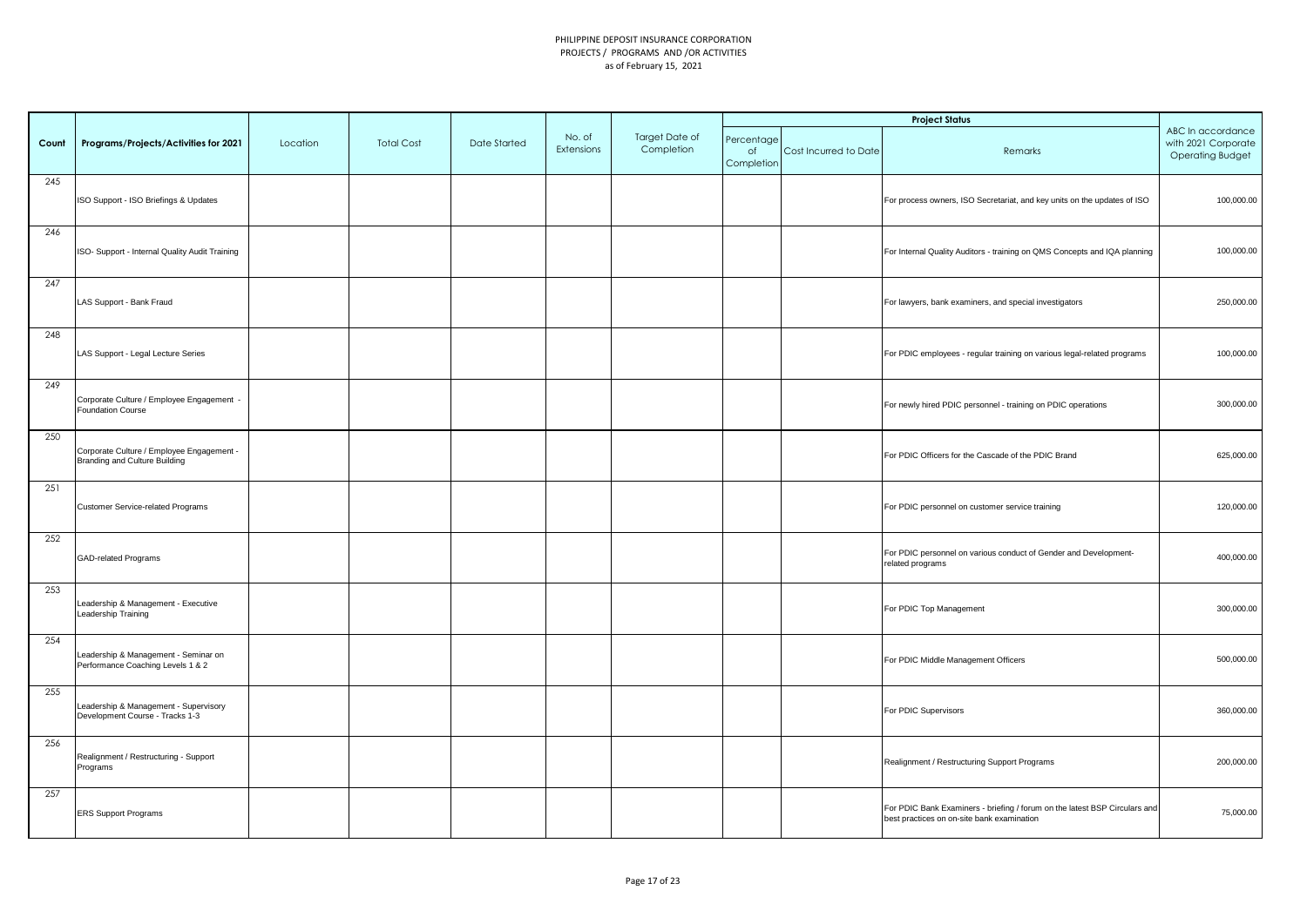|       |                                                                            |          |                   |              |                      |                              |                                |                       | <b>Project Status</b>                                                                                                    |                                                                     |
|-------|----------------------------------------------------------------------------|----------|-------------------|--------------|----------------------|------------------------------|--------------------------------|-----------------------|--------------------------------------------------------------------------------------------------------------------------|---------------------------------------------------------------------|
| Count | Programs/Projects/Activities for 2021                                      | Location | <b>Total Cost</b> | Date Started | No. of<br>Extensions | Target Date of<br>Completion | Percentage<br>of<br>Completion | Cost Incurred to Date | Remarks                                                                                                                  | ABC In accordance<br>with 2021 Corporate<br><b>Operating Budget</b> |
| 245   | ISO Support - ISO Briefings & Updates                                      |          |                   |              |                      |                              |                                |                       | For process owners, ISO Secretariat, and key units on the updates of ISO                                                 | 100,000.00                                                          |
| 246   | ISO- Support - Internal Quality Audit Training                             |          |                   |              |                      |                              |                                |                       | For Internal Quality Auditors - training on QMS Concepts and IQA planning                                                | 100,000.00                                                          |
| 247   | LAS Support - Bank Fraud                                                   |          |                   |              |                      |                              |                                |                       | For lawyers, bank examiners, and special investigators                                                                   | 250,000.00                                                          |
| 248   | LAS Support - Legal Lecture Series                                         |          |                   |              |                      |                              |                                |                       | For PDIC employees - regular training on various legal-related programs                                                  | 100,000.00                                                          |
| 249   | Corporate Culture / Employee Engagement -<br><b>Foundation Course</b>      |          |                   |              |                      |                              |                                |                       | For newly hired PDIC personnel - training on PDIC operations                                                             | 300,000.00                                                          |
| 250   | Corporate Culture / Employee Engagement -<br>Branding and Culture Building |          |                   |              |                      |                              |                                |                       | For PDIC Officers for the Cascade of the PDIC Brand                                                                      | 625,000.00                                                          |
| 251   | Customer Service-related Programs                                          |          |                   |              |                      |                              |                                |                       | For PDIC personnel on customer service training                                                                          | 120,000.00                                                          |
| 252   | GAD-related Programs                                                       |          |                   |              |                      |                              |                                |                       | For PDIC personnel on various conduct of Gender and Development-<br>related programs                                     | 400,000.00                                                          |
| 253   | Leadership & Management - Executive<br>Leadership Training                 |          |                   |              |                      |                              |                                |                       | For PDIC Top Management                                                                                                  | 300,000.00                                                          |
| 254   | Leadership & Management - Seminar on<br>Performance Coaching Levels 1 & 2  |          |                   |              |                      |                              |                                |                       | For PDIC Middle Management Officers                                                                                      | 500,000.00                                                          |
| 255   | Leadership & Management - Supervisory<br>Development Course - Tracks 1-3   |          |                   |              |                      |                              |                                |                       | For PDIC Supervisors                                                                                                     | 360,000.00                                                          |
| 256   | Realignment / Restructuring - Support<br>Programs                          |          |                   |              |                      |                              |                                |                       | Realignment / Restructuring Support Programs                                                                             | 200,000.00                                                          |
| 257   | <b>ERS Support Programs</b>                                                |          |                   |              |                      |                              |                                |                       | For PDIC Bank Examiners - briefing / forum on the latest BSP Circulars and<br>best practices on on-site bank examination | 75,000.00                                                           |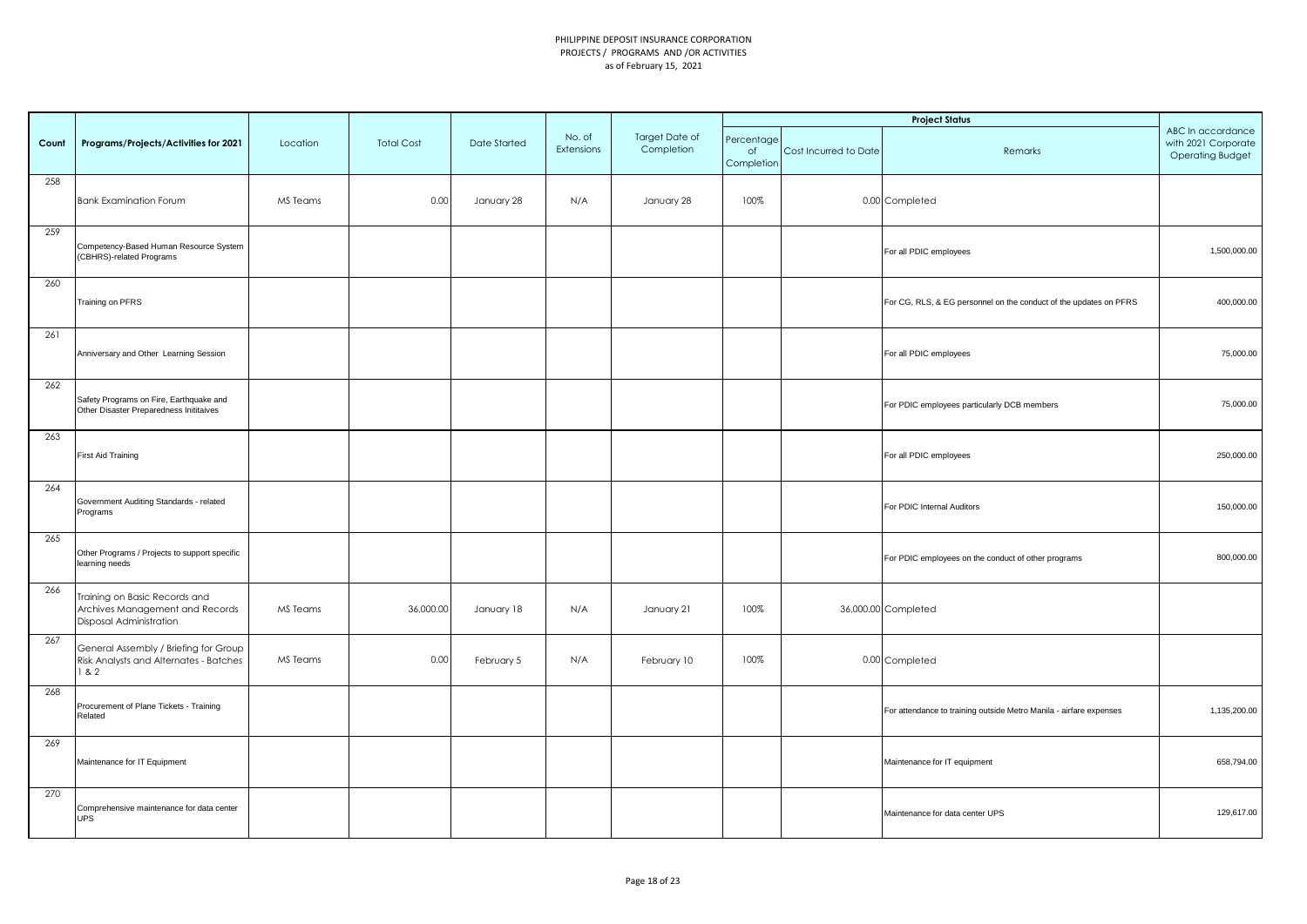|       |                                                                                             |          |                   |              |                      |                              |                                |                       | <b>Project Status</b>                                              |                                                                     |
|-------|---------------------------------------------------------------------------------------------|----------|-------------------|--------------|----------------------|------------------------------|--------------------------------|-----------------------|--------------------------------------------------------------------|---------------------------------------------------------------------|
| Count | Programs/Projects/Activities for 2021                                                       | Location | <b>Total Cost</b> | Date Started | No. of<br>Extensions | Target Date of<br>Completion | Percentage<br>of<br>Completion | Cost Incurred to Date | Remarks                                                            | ABC In accordance<br>with 2021 Corporate<br><b>Operating Budget</b> |
| 258   | <b>Bank Examination Forum</b>                                                               | MS Teams | 0.00              | January 28   | N/A                  | January 28                   | 100%                           |                       | 0.00 Completed                                                     |                                                                     |
| 259   | Competency-Based Human Resource System<br>(CBHRS)-related Programs                          |          |                   |              |                      |                              |                                |                       | For all PDIC employees                                             | 1,500,000.00                                                        |
| 260   | Training on PFRS                                                                            |          |                   |              |                      |                              |                                |                       | For CG, RLS, & EG personnel on the conduct of the updates on PFRS  | 400,000.00                                                          |
| 261   | Anniversary and Other Learning Session                                                      |          |                   |              |                      |                              |                                |                       | For all PDIC employees                                             | 75,000.00                                                           |
| 262   | Safety Programs on Fire, Earthquake and<br>Other Disaster Preparedness Inititaives          |          |                   |              |                      |                              |                                |                       | For PDIC employees particularly DCB members                        | 75,000.00                                                           |
| 263   | <b>First Aid Training</b>                                                                   |          |                   |              |                      |                              |                                |                       | For all PDIC employees                                             | 250,000.00                                                          |
| 264   | Government Auditing Standards - related<br>Programs                                         |          |                   |              |                      |                              |                                |                       | For PDIC Internal Auditors                                         | 150,000.00                                                          |
| 265   | Other Programs / Projects to support specific<br>learning needs                             |          |                   |              |                      |                              |                                |                       | For PDIC employees on the conduct of other programs                | 800,000.00                                                          |
| 266   | Training on Basic Records and<br>Archives Management and Records<br>Disposal Administration | MS Teams | 36,000.00         | January 18   | N/A                  | January 21                   | 100%                           |                       | 36,000.00 Completed                                                |                                                                     |
| 267   | General Assembly / Briefing for Group<br>Risk Analysts and Alternates - Batches<br>82       | MS Teams | 0.00              | February 5   | N/A                  | February 10                  | 100%                           |                       | 0.00 Completed                                                     |                                                                     |
| 268   | Procurement of Plane Tickets - Training<br>Related                                          |          |                   |              |                      |                              |                                |                       | For attendance to training outside Metro Manila - airfare expenses | 1,135,200.00                                                        |
| 269   | Maintenance for IT Equipment                                                                |          |                   |              |                      |                              |                                |                       | Maintenance for IT equipment                                       | 658,794.00                                                          |
| 270   | Comprehensive maintenance for data center<br><b>UPS</b>                                     |          |                   |              |                      |                              |                                |                       | Maintenance for data center UPS                                    | 129,617.00                                                          |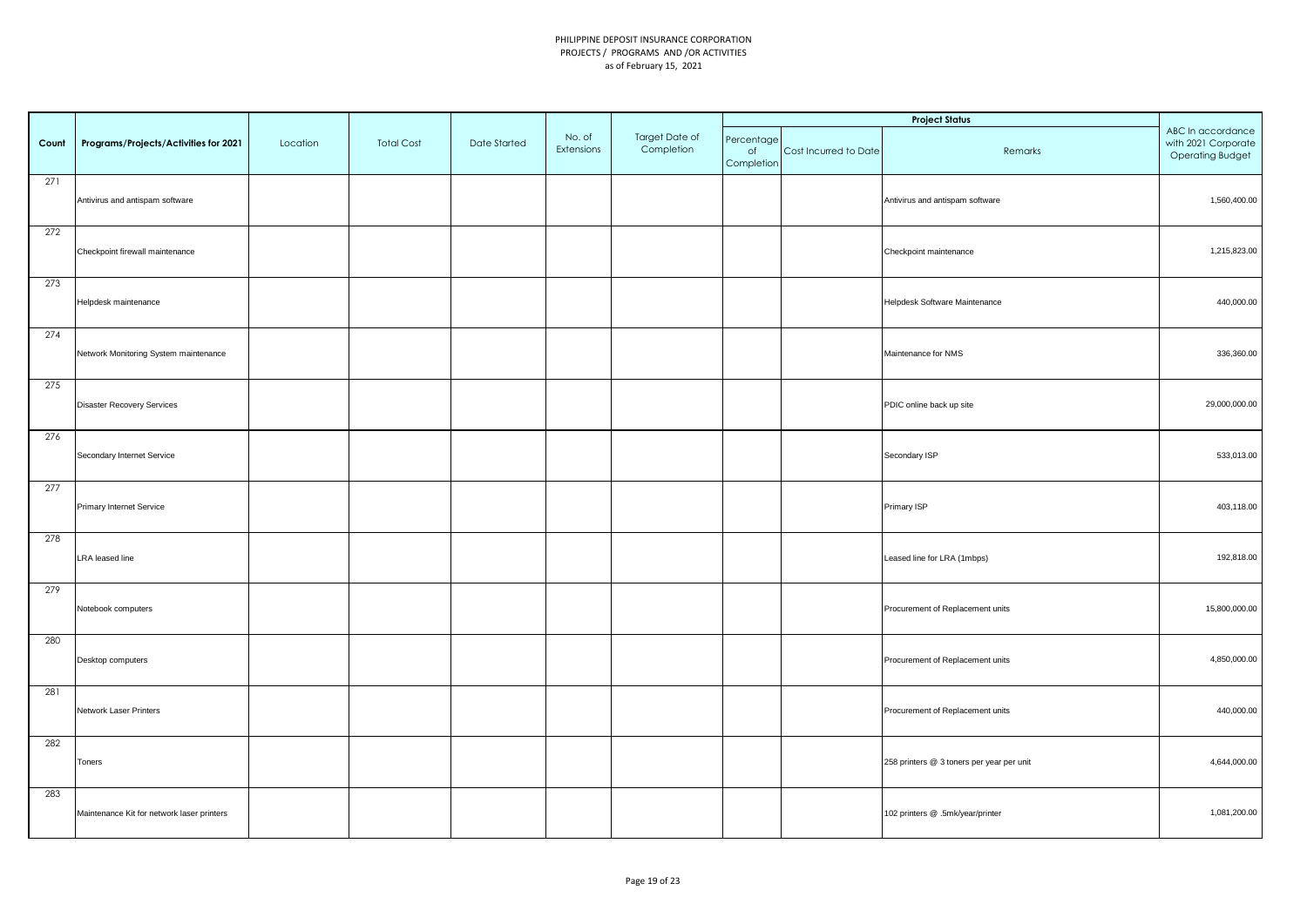|       |                                            |          |                   |              |                      |                              |                                |                       | <b>Project Status</b>                     |                                                                     |
|-------|--------------------------------------------|----------|-------------------|--------------|----------------------|------------------------------|--------------------------------|-----------------------|-------------------------------------------|---------------------------------------------------------------------|
| Count | Programs/Projects/Activities for 2021      | Location | <b>Total Cost</b> | Date Started | No. of<br>Extensions | Target Date of<br>Completion | Percentage<br>of<br>Completion | Cost Incurred to Date | Remarks                                   | ABC In accordance<br>with 2021 Corporate<br><b>Operating Budget</b> |
| 271   | Antivirus and antispam software            |          |                   |              |                      |                              |                                |                       | Antivirus and antispam software           | 1,560,400.00                                                        |
| 272   | Checkpoint firewall maintenance            |          |                   |              |                      |                              |                                |                       | Checkpoint maintenance                    | 1,215,823.00                                                        |
| 273   | Helpdesk maintenance                       |          |                   |              |                      |                              |                                |                       | Helpdesk Software Maintenance             | 440,000.00                                                          |
| 274   | Network Monitoring System maintenance      |          |                   |              |                      |                              |                                |                       | Maintenance for NMS                       | 336,360.00                                                          |
| 275   | <b>Disaster Recovery Services</b>          |          |                   |              |                      |                              |                                |                       | PDIC online back up site                  | 29,000,000.00                                                       |
| 276   | Secondary Internet Service                 |          |                   |              |                      |                              |                                |                       | Secondary ISP                             | 533,013.00                                                          |
| 277   | Primary Internet Service                   |          |                   |              |                      |                              |                                |                       | Primary ISP                               | 403,118.00                                                          |
| 278   | <b>LRA</b> leased line                     |          |                   |              |                      |                              |                                |                       | Leased line for LRA (1mbps)               | 192,818.00                                                          |
| 279   | Notebook computers                         |          |                   |              |                      |                              |                                |                       | Procurement of Replacement units          | 15,800,000.00                                                       |
| 280   | Desktop computers                          |          |                   |              |                      |                              |                                |                       | Procurement of Replacement units          | 4,850,000.00                                                        |
| 281   | Network Laser Printers                     |          |                   |              |                      |                              |                                |                       | Procurement of Replacement units          | 440,000.00                                                          |
| 282   | Toners                                     |          |                   |              |                      |                              |                                |                       | 258 printers @ 3 toners per year per unit | 4,644,000.00                                                        |
| 283   | Maintenance Kit for network laser printers |          |                   |              |                      |                              |                                |                       | 102 printers @ .5mk/year/printer          | 1,081,200.00                                                        |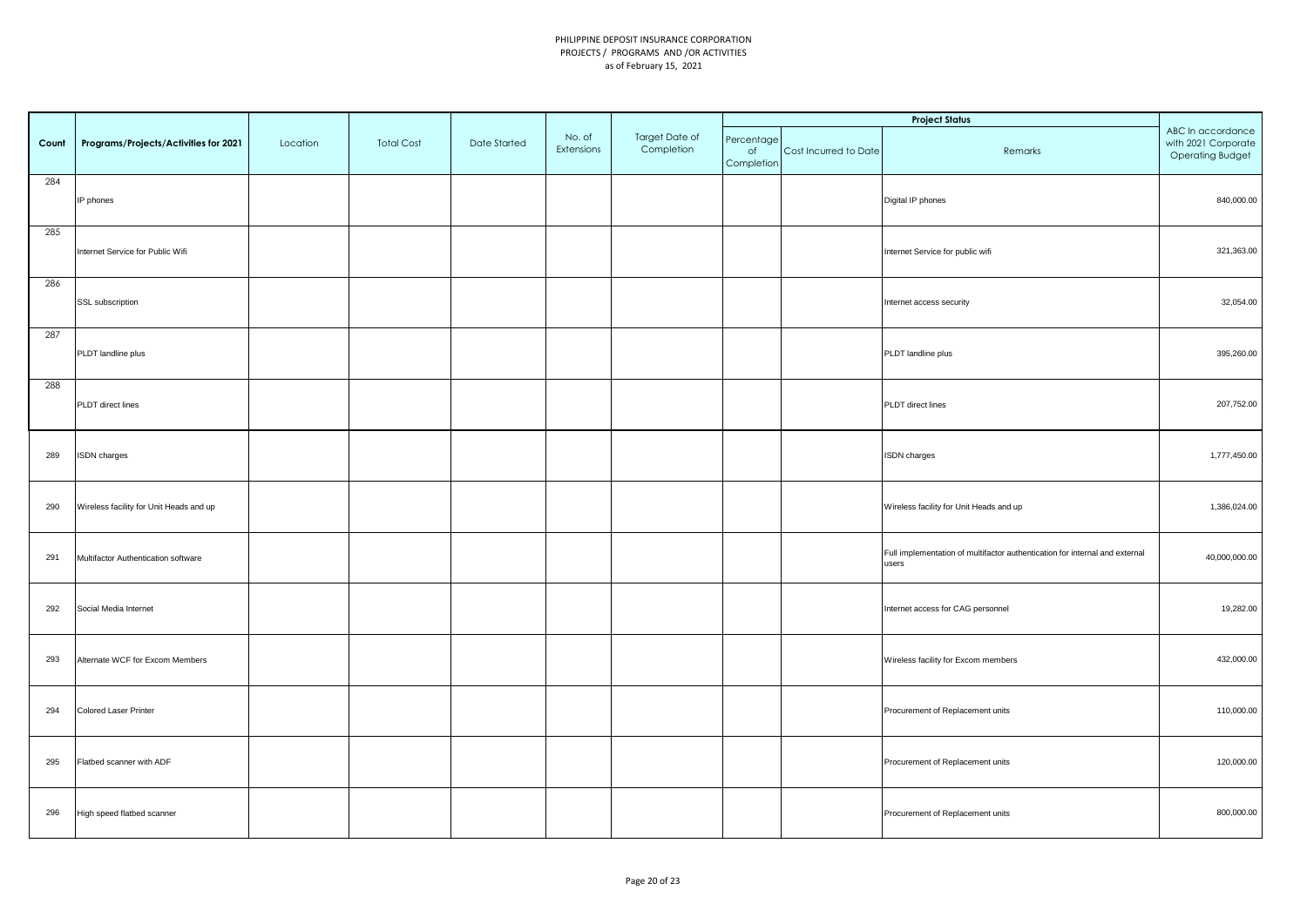|       |                                         |          |                   |              |                      |                              |                                |                       | <b>Project Status</b>                                                                |                                                                     |
|-------|-----------------------------------------|----------|-------------------|--------------|----------------------|------------------------------|--------------------------------|-----------------------|--------------------------------------------------------------------------------------|---------------------------------------------------------------------|
| Count | Programs/Projects/Activities for 2021   | Location | <b>Total Cost</b> | Date Started | No. of<br>Extensions | Target Date of<br>Completion | Percentage<br>of<br>Completion | Cost Incurred to Date | Remarks                                                                              | ABC In accordance<br>with 2021 Corporate<br><b>Operating Budget</b> |
| 284   | IP phones                               |          |                   |              |                      |                              |                                |                       | Digital IP phones                                                                    | 840,000.00                                                          |
| 285   | Internet Service for Public Wifi        |          |                   |              |                      |                              |                                |                       | Internet Service for public wifi                                                     | 321,363.00                                                          |
| 286   | SSL subscription                        |          |                   |              |                      |                              |                                |                       | Internet access security                                                             | 32,054.00                                                           |
| 287   | PLDT landline plus                      |          |                   |              |                      |                              |                                |                       | PLDT landline plus                                                                   | 395,260.00                                                          |
| 288   | PLDT direct lines                       |          |                   |              |                      |                              |                                |                       | PLDT direct lines                                                                    | 207,752.00                                                          |
| 289   | ISDN charges                            |          |                   |              |                      |                              |                                |                       | <b>ISDN</b> charges                                                                  | 1,777,450.00                                                        |
| 290   | Wireless facility for Unit Heads and up |          |                   |              |                      |                              |                                |                       | Wireless facility for Unit Heads and up                                              | 1,386,024.00                                                        |
| 291   | Multifactor Authentication software     |          |                   |              |                      |                              |                                |                       | Full implementation of multifactor authentication for internal and external<br>users | 40,000,000.00                                                       |
| 292   | Social Media Internet                   |          |                   |              |                      |                              |                                |                       | Internet access for CAG personnel                                                    | 19,282.00                                                           |
| 293   | Alternate WCF for Excom Members         |          |                   |              |                      |                              |                                |                       | Wireless facility for Excom members                                                  | 432,000.00                                                          |
| 294   | Colored Laser Printer                   |          |                   |              |                      |                              |                                |                       | Procurement of Replacement units                                                     | 110,000.00                                                          |
| 295   | Flatbed scanner with ADF                |          |                   |              |                      |                              |                                |                       | Procurement of Replacement units                                                     | 120,000.00                                                          |
| 296   | High speed flatbed scanner              |          |                   |              |                      |                              |                                |                       | Procurement of Replacement units                                                     | 800,000.00                                                          |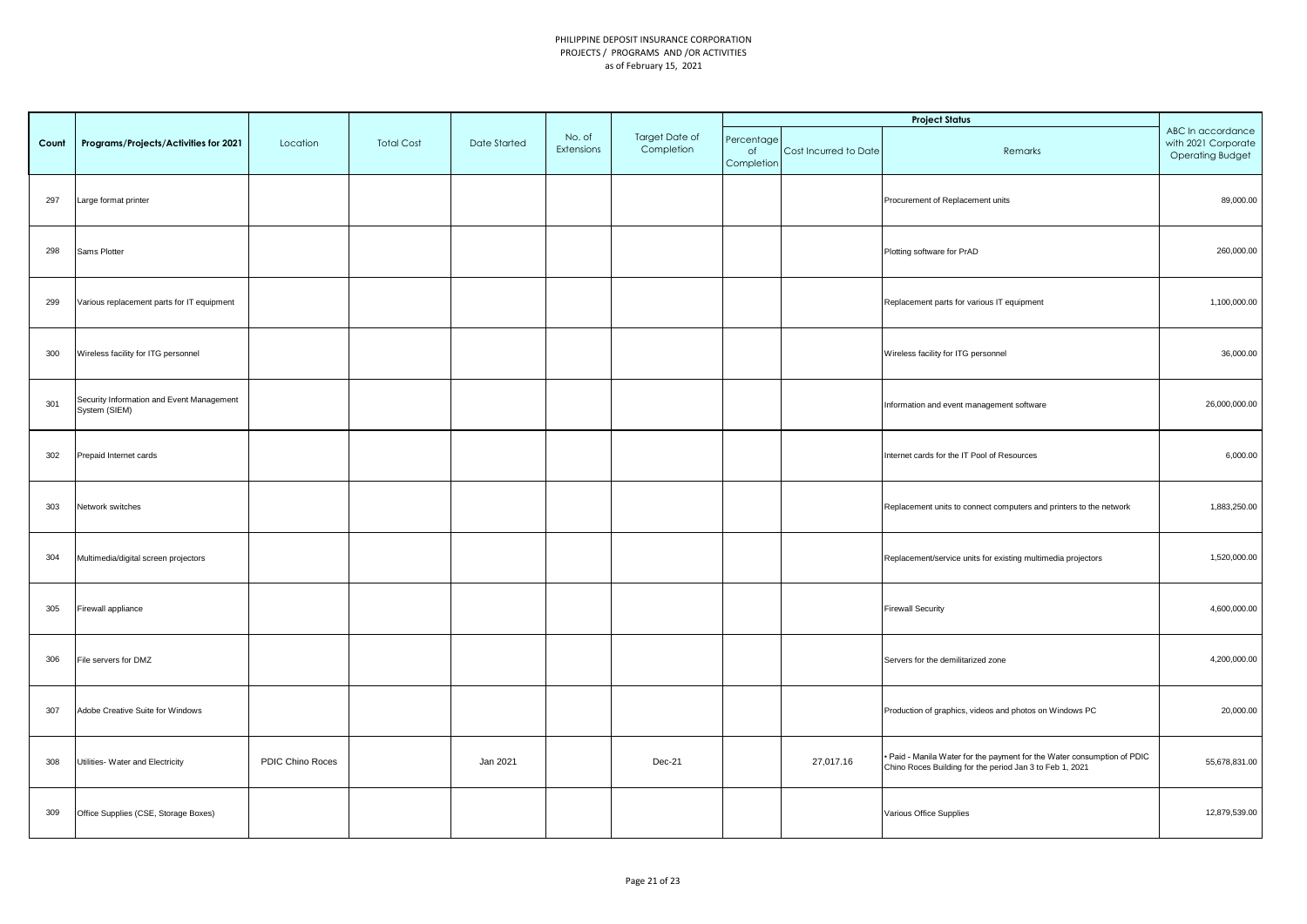|       |                                                            |                  |                   |                     |                      |                              |                                |                       | <b>Project Status</b>                                                                                                               |                                                                     |
|-------|------------------------------------------------------------|------------------|-------------------|---------------------|----------------------|------------------------------|--------------------------------|-----------------------|-------------------------------------------------------------------------------------------------------------------------------------|---------------------------------------------------------------------|
| Count | Programs/Projects/Activities for 2021                      | Location         | <b>Total Cost</b> | <b>Date Started</b> | No. of<br>Extensions | Target Date of<br>Completion | Percentage<br>of<br>Completion | Cost Incurred to Date | Remarks                                                                                                                             | ABC In accordance<br>with 2021 Corporate<br><b>Operating Budget</b> |
| 297   | Large format printer                                       |                  |                   |                     |                      |                              |                                |                       | Procurement of Replacement units                                                                                                    | 89,000.00                                                           |
| 298   | Sams Plotter                                               |                  |                   |                     |                      |                              |                                |                       | Plotting software for PrAD                                                                                                          | 260,000.00                                                          |
| 299   | Various replacement parts for IT equipment                 |                  |                   |                     |                      |                              |                                |                       | Replacement parts for various IT equipment                                                                                          | 1,100,000.00                                                        |
| 300   | Wireless facility for ITG personnel                        |                  |                   |                     |                      |                              |                                |                       | Wireless facility for ITG personnel                                                                                                 | 36,000.00                                                           |
| 301   | Security Information and Event Management<br>System (SIEM) |                  |                   |                     |                      |                              |                                |                       | Information and event management software                                                                                           | 26,000,000.00                                                       |
| 302   | Prepaid Internet cards                                     |                  |                   |                     |                      |                              |                                |                       | Internet cards for the IT Pool of Resources                                                                                         | 6,000.00                                                            |
| 303   | Network switches                                           |                  |                   |                     |                      |                              |                                |                       | Replacement units to connect computers and printers to the network                                                                  | 1,883,250.00                                                        |
| 304   | Multimedia/digital screen projectors                       |                  |                   |                     |                      |                              |                                |                       | Replacement/service units for existing multimedia projectors                                                                        | 1,520,000.00                                                        |
| 305   | Firewall appliance                                         |                  |                   |                     |                      |                              |                                |                       | <b>Firewall Security</b>                                                                                                            | 4,600,000.00                                                        |
| 306   | File servers for DMZ                                       |                  |                   |                     |                      |                              |                                |                       | Servers for the demilitarized zone                                                                                                  | 4,200,000.00                                                        |
| 307   | Adobe Creative Suite for Windows                           |                  |                   |                     |                      |                              |                                |                       | Production of graphics, videos and photos on Windows PC                                                                             | 20,000.00                                                           |
| 308   | Utilities- Water and Electricity                           | PDIC Chino Roces |                   | Jan 2021            |                      | Dec-21                       |                                | 27,017.16             | . Paid - Manila Water for the payment for the Water consumption of PDIC<br>Chino Roces Building for the period Jan 3 to Feb 1, 2021 | 55,678,831.00                                                       |
| 309   | Office Supplies (CSE, Storage Boxes)                       |                  |                   |                     |                      |                              |                                |                       | Various Office Supplies                                                                                                             | 12,879,539.00                                                       |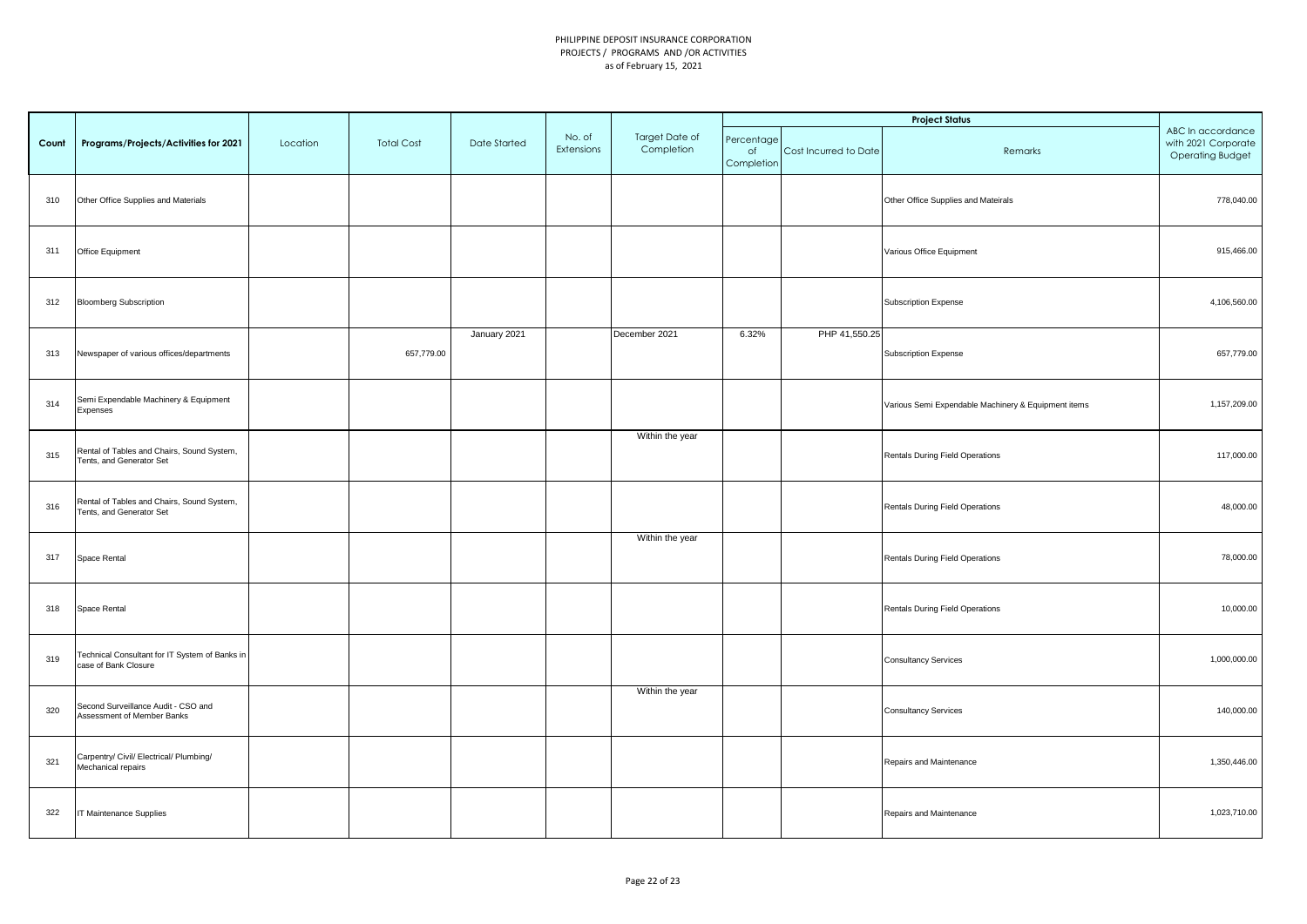|       |                                                                        |          |                   |                     |                      |                              |                                |                       | <b>Project Status</b>                               |                                                                     |
|-------|------------------------------------------------------------------------|----------|-------------------|---------------------|----------------------|------------------------------|--------------------------------|-----------------------|-----------------------------------------------------|---------------------------------------------------------------------|
| Count | Programs/Projects/Activities for 2021                                  | Location | <b>Total Cost</b> | <b>Date Started</b> | No. of<br>Extensions | Target Date of<br>Completion | Percentage<br>of<br>Completion | Cost Incurred to Date | Remarks                                             | ABC In accordance<br>with 2021 Corporate<br><b>Operating Budget</b> |
| 310   | Other Office Supplies and Materials                                    |          |                   |                     |                      |                              |                                |                       | Other Office Supplies and Mateirals                 | 778,040.00                                                          |
| 311   | Office Equipment                                                       |          |                   |                     |                      |                              |                                |                       | Various Office Equipment                            | 915,466.00                                                          |
| 312   | <b>Bloomberg Subscription</b>                                          |          |                   |                     |                      |                              |                                |                       | Subscription Expense                                | 4,106,560.00                                                        |
| 313   | Newspaper of various offices/departments                               |          | 657,779.00        | January 2021        |                      | December 2021                | 6.32%                          | PHP 41,550.25         | Subscription Expense                                | 657,779.00                                                          |
| 314   | Semi Expendable Machinery & Equipment<br>Expenses                      |          |                   |                     |                      |                              |                                |                       | Various Semi Expendable Machinery & Equipment items | 1,157,209.00                                                        |
| 315   | Rental of Tables and Chairs, Sound System,<br>Tents, and Generator Set |          |                   |                     |                      | Within the year              |                                |                       | Rentals During Field Operations                     | 117,000.00                                                          |
| 316   | Rental of Tables and Chairs, Sound System,<br>Tents, and Generator Set |          |                   |                     |                      |                              |                                |                       | Rentals During Field Operations                     | 48,000.00                                                           |
| 317   | Space Rental                                                           |          |                   |                     |                      | Within the year              |                                |                       | Rentals During Field Operations                     | 78,000.00                                                           |
| 318   | Space Rental                                                           |          |                   |                     |                      |                              |                                |                       | Rentals During Field Operations                     | 10,000.00                                                           |
| 319   | Technical Consultant for IT System of Banks in<br>case of Bank Closure |          |                   |                     |                      |                              |                                |                       | <b>Consultancy Services</b>                         | 1,000,000.00                                                        |
| 320   | Second Surveillance Audit - CSO and<br>Assessment of Member Banks      |          |                   |                     |                      | Within the year              |                                |                       | <b>Consultancy Services</b>                         | 140,000.00                                                          |
| 321   | Carpentry/ Civil/ Electrical/ Plumbing/<br>Mechanical repairs          |          |                   |                     |                      |                              |                                |                       | Repairs and Maintenance                             | 1,350,446.00                                                        |
| 322   | IT Maintenance Supplies                                                |          |                   |                     |                      |                              |                                |                       | Repairs and Maintenance                             | 1,023,710.00                                                        |